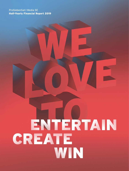# ENTERTAIN CREATE WIN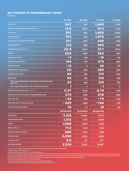# <span id="page-1-0"></span>KEY FIGURES OF PROSIEBENSAT.1 GROUP

**in EUR m**

|                                                                              | <b>Q2 2019</b> | <b>Q2 2018</b> | H1 2019    | H1 2018      |
|------------------------------------------------------------------------------|----------------|----------------|------------|--------------|
| <b>Revenues</b>                                                              | 947            | 912            | 1,860      | 1,794        |
| Revenue margin before income taxes (in %)                                    | 13.8           | 20.2           | 16.6       | 12.8         |
| <b>Total costs</b>                                                           | 812            | 742            | 1,605      | 1,550        |
| <b>Operating costs<sup>1</sup></b>                                           | 743            | 661            | 1,475      | 1,350        |
| <b>Consumption of programming assets</b>                                     | 217            | 207            | 449        | 452          |
| <b>Adjusted EBITDA<sup>2</sup></b>                                           | 213            | 259            | 403        | 459          |
| Adjusted EBITDA margin (in %)                                                | 22.5           | 28.4           | 21.7       | 25.6         |
| <b>EBITDA</b>                                                                | 204            | 230            | 384        | 363          |
| Reconciling items <sup>3</sup>                                               | - 9            | $-28$          | $-19$      | $-96$        |
| <b>Operating result (EBIT)</b>                                               | 144            | 178            | 273        | 260          |
| <b>Financial result</b>                                                      | $-13$          | 6              | 36         | $-30$        |
| <b>Result before income taxes</b>                                            | 131            | 184            | 309        | 230          |
| Adjusted net income <sup>4</sup>                                             | 85             | 136            | 179        | 230          |
| Net income                                                                   | 94             | 125            | 215        | 155          |
| Net income attributable to shareholders of ProSiebenSat.1<br><b>Media SE</b> | 93             | 126            | 215        | 153          |
| Net income attributable to non-controlling interests                         |                | $-1$           | - 1        | $\mathbf{2}$ |
| Adjusted earnings per share (in EUR)                                         | 0.37           | 0.60           | 0.79       | 1.00         |
| Payments for the acquisition of programming assets                           | 275            | 236            | 578        | 463          |
| <b>Free cash flow</b>                                                        | $-25$          | $-199$         | $-79$      | $-143$       |
| Cash flow from investing activities                                          | $-429$         | $-466$         | -766       | $-751$       |
| <b>Free cash flow before M&amp;A</b>                                         | 76             | $-3$           | 15         | 83           |
|                                                                              | 06/30/2019     | 12/31/2018     | 06/30/2018 |              |
| Employees <sup>5</sup>                                                       | 7,318          | 6,583          | 6,512      |              |
| <b>Programming assets</b>                                                    | 1,212          | 1,113          | 1,208      |              |
| <b>Equity</b>                                                                | 1,080          | 1,070          | 1,041      |              |
| Equity ratio (in %)                                                          | 17.2           | 16.5           | 16.8       |              |
| <b>Cash and cash equivalents</b>                                             | 685            | 1,031          | 990        |              |
| <b>Financial debt</b>                                                        | 3,200          | 3,194          | 3,189      |              |
| Leverage ratio <sup>6</sup>                                                  | 2.6            | 2.1            | 2.17       |              |
| Net financial debt                                                           | 2,514          | 2,163          | 2,1997     |              |

1 Total costs excl. EBITDA expense adjustments, depreciation, amortization, and impairments.

<sup>2</sup> EBITDA before reconciling items.

<sup>3</sup> EBITDA expense adjustments less income adjustments.

4 Net income attributable to shareholders of ProSiebenSat.1 Media SE before the amortization and impairments from purchase price allocations, adjusted for the reconciling items. These include valuation effects recognized in other financial result, valuation effects of put-options and earn-out liabilities, as well as valuation effects from interest rate hedging transactions. Moreover, the tax effects resulting from such adjustments are also adjusted. Annual Report 2018, page 85.

<sup>5</sup> Full-time equivalent positions as of reporting date.

 $6$  Ratio net financial debt to adjusted EBITDA in the last twelve months.

 $7$  After reclassification of cash and cash equivalents of assets held for sale.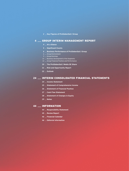# **[Key Figures of ProSiebenSat.1 Group](#page-1-0)**

# [GROUP INTERIM MANAGEMENT REPORT](#page-3-0)

### **[At a Glance](#page-3-0)**

- **[Significant Events](#page-4-0)**
- **[Business Performance of ProSiebenSat.1 Group](#page-5-0)**
- [Group Environment](#page-5-0)
- [Group Earnings](#page-8-0)
- **[Business Development of the Segments](#page-11-0)**
- [Group Financial Position and Performance](#page-13-0)
- **[The ProSiebenSat.1 Media SE Share](#page-19-0)**
- **[Risk and Opportunity Report](#page-20-0)**
- **[Outlook](#page-21-0)**

# **[INTERIM CONSOLIDATED FINANCIAL STATEMENTS](#page-23-0)**

- **[Income Statement](#page-23-0)**
- **[Statement of Comprehensive Income](#page-24-0)**
- **[Statement of Financial Position](#page-25-0)**
- **[Cash Flow Statement](#page-26-0)**
- **[Statement of Changes in Equity](#page-27-0)**
- **[Notes](#page-28-0)**

# **[INFORMATION](#page-43-0)**

- **[Responsibility Statement](#page-43-0)**
- **[Review Report](#page-44-0)**
- **[Financial Calendar](#page-45-0)**
- **[Editorial Information](#page-45-0)**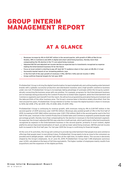# <span id="page-3-0"></span>GROUP INTERIM MANAGEMENT REPORT

# AT A GLANCE

- \_ Revenues increase by 4% to EUR <sup>947</sup> million in the second quarter, with growth of 28% at Red Arrow Studios, 18% in Commerce and 26% in digital and smart advertising business, thereby more than compensating the 3% decline in the TV core advertising revenues
- \_ Adjusted EBITDA and adjusted net income decline as expected due to investments recognized as expense making the Entertainment business fit for the future
- \_ Focus on local content is starting to pay off: best Q2 TV audience share in four years at 28.4% (+1.2 pp)
- \_ Successful market launch of our streaming platform Joyn
- \_ In the first half of the year growth of revenues (+4%), EBITDA (+6%) and net income (+38%)
- \_ Group confirms financial targets for full-year 2019

ProSiebenSat.1 Group is driving the digital transformation forward emphatically and uniting leading entertainment brands with a globally successful production and distribution business and a high-growth commerce business under one roof. ProSiebenSat.1 Group is increasingly taking advantage of synergies within the Group by systematically connecting the business areas with one another. For example, programs for the Entertainment business are increasingly being produced by the Content Production & Global Sales segment, while the Entertainment and Commerce segments each benefit from the reach, the attractive programming and advertising environment and the data portfolio of the other business area. The Group's revenue base is therefore widely diversified. Over the next around five years, ProSiebenSat.1 Group intends to further increase the digital business's share in revenues to 50% (Q2 2018: 27%; Q2 2019: 31%; H1 2018: 26%; H1 2019: 31%).

ProSiebenSat.1 Group is continuing its revenue growth, with revenues rising by 4% to EUR 947 million in the second quarter of 2019 (previous year: EUR 912 million). Revenues also posted growth of 4% in the first half of 2019, increasing to EUR 1,860 million (previous year: EUR 1,794 million). Both in the second quarter and in the first half of the year, revenues in the Content Production & Global Sales and Commerce segments posted double-digit percentage growth, thereby more than compensating for the decline in revenues in the Entertainment segment. As expected, the Group's adjusted EBITDA saw a decline in both periods, which particularly reflected investments recognized as expense in the Entertainment business in the second quarter, primarily in local content, digital platforms and an improved monetization of reach, as well as lower advertising revenues. EBITDA and net income both increased in the first half year. For full-year 2019 the Group is confirming its financial targets.

At the core of its activities, the Group will continue to provide top entertainment that people love and commerce offerings that people need. In everything it does, ProSiebenSat.1 Group wants to be as close to the consumers as possible and to delight people — with the right offers at the right time, no matter where. This success is decisively shaped by the Group's employees. As of June 30, 2019, ProSiebenSat.1 Group had 7,318 employees (previous year: 6,512), calculated on the basis of full-time equivalents. The higher number of employees mainly results from acquisitions and the expansion of the digital portfolio.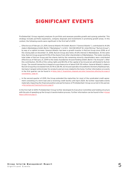# <span id="page-4-1"></span><span id="page-4-0"></span>SIGNIFICANT EVENTS

ProSiebenSat.1 Group regularly analyzes its portfolio and assesses possible growth and synergy potential. This strategy includes portfolio expansions, company disposals and investments in promising growth areas. In this context, the following events were significant in the first half of 2019:

- \_ Effective as of February 21, 2019, General Atlantic PD GmbH, Munich ("General Atlantic"), contributed its 41.6% stake in Marketplace GmbH, Berlin ("Marketplace"), to NCG – NUCOM GROUP SE, Unterföhring ("NuCom Group"), by way of a capital increase. General Atlantic has been a growth investor in NuCom Group since 2018; as of the closing date on December 31, 2018, NuCom Group also held a 41.6% interest in Marketplace. At the same time, NuCom Group acquired 10.5% of the shares from other shareholders of Marketplace. The newly resulting total stake of NuCom Group and the shares held by the remaining minority shareholders were contributed effective as of February 21, 2019 to the newly founded be Around Holding GmbH, Berlin ("be Around"). After this contribution, 94.0% of the voting rights and 80.0% of the capital of be Around are attributed to NuCom Group. The overall transaction is based on a purchase price of about EUR 130 million. General Atlantic's stake in NuCom Group thus increased from 25.1% to 28.4%. be Around operates Aroundhome (formerly Käuferportal), Germany's largest online broker for products and services related to the home. Further information on events in the first quarter can be found in  $\rightarrow$  [Notes, Note 3 "Acquisitions, disposals and other transactions affecting the scope of](#page-33-0) [consolidation," page 34](#page-33-0) .
- $\_$  In the second quarter of 2019, the Group extended the maturities for most of the syndicated credit agreement consisting of a term loan and a revolving credit facility until April 2024. No further reportable events materially impacting the financial position and performance of ProSiebenSat.1 Group occurred in this period.  $\rightarrow$  [Borrowings and Financing Structure, page 14](#page-13-1)

In the first half of 2019, ProSiebenSat.1 Group further developed its Executive Committee and holding structure with the aim of speeding up the Group's transformation process. Further information can be found in the  $\rightarrow$  [Annual](https://www.prosiebensat1.com/en/investor-relations/publications/annual-reports) [Report 2018 from page 31](https://www.prosiebensat1.com/en/investor-relations/publications/annual-reports) .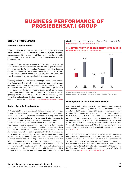# <span id="page-5-0"></span>BUSINESS PERFORMANCE OF PROSIEBENSAT.1 GROUP

# GROUP ENVIRONMENT

### <span id="page-5-1"></span>Economic Development

In the first quarter of 2019, the German economy grew by 0.4% in real terms compared to the previous quarter. However, this increase was exaggerated by various one-off factors such as the favorable development of the construction industry and consumer-friendly fiscal measures.

The export-driven German economy is still suffering due to several political uncertainties and trade conflicts, the slowing global economy, and risks within the European Union. The pace of growth in its gross domestic product (GDP) is therefore likely to remain limited overall. According to the German Institute for Economic Research (DIW), weak growth can accordingly be expected in the second quarter.

Currently, positive impetus is mainly coming from the domestic economy. The construction industry is experiencing a boom, while private consumer spending is expanding thanks to the favorable labor market situation and substantial rises in income. According to preliminary information from the German Federal Statistical Office, revenues in retail, which accounts for around one-third of private consumer spending, increased by 2.8% in real terms from January to May 2019. The online and mail order business developed particularly dynamically (+7.1% in real terms).  $\rightarrow$  Fig. 01  $\rightarrow$  [Risk and Opportunity Report, page 21](#page-20-1)

# Sector-Specific Development

ProSiebenSat.1 Group is consistently linking its television business to digital entertainment media and thus expanding its total reach. Together with AGF Videoforschung, ProSiebenSat.1 Group is currently working on the market launch of a convergent total reach metric for TV and digital with daily data. These new indicators will account for altered media usage, as digitalization has extended the range of media usage in recent years and the lines between different media are increasingly blurring. The same content is consumed via various channels on different devices. The associated overlaps between the various forms of use can be presented with the reach metric "total reach." As the next step, this reach is to be made addressable so that advertising can be tailored to the respective viewers in an optimum manner ("smart reach"). In this context, ProSiebenSat.1 Group announced in June 2019 that it would be founding the joint venture "d-force" together with Mediengruppe RTL Deutschland GmbH ("Mediengruppe RTL Deutschland") – with the aim of establishing a cross-marketer platform for booking addressable TV and online video in order to create additional growth opportunities in this area. The

plan is subject to the approval of the German Federal Cartel Office. → [Annual Report 2018, page 99ff and page 126ff](https://www.prosiebensat1.com/en/investor-relations/publications/annual-reports)

### 01 / DEVELOPMENT OF GROSS DOMESTIC PRODUCT IN GERMANY in %, change vs. previous quarter



Adjusted for price, seasonal and calendar effects.

**Sources:** Destatis, DIW Economic Barometer from June 26, 2019. / **e:** estimate

# <span id="page-5-2"></span>Development of the Advertising Market

According to Nielsen Media Research, gross TV advertising investment in Germany rose slightly by 0.5% to EUR 3.70 billion in the second quarter of 2019 (previous year: EUR 3.68 billion). From January to June 2019, it decreased by 0.8% to EUR 7.29 billion (previous year: EUR 7.34 billion). At the same time, TV still has the greatest relevance in comparison to other media, accounting for 47.4% of gross advertising investment in the second quarter (previous year: 47.2%) and 47.9% from January to June (previous year: 48.1%). Online advertising accounted for 11.4% in the second quarter (previous year: 11.2%) and also 11.4% in the first half of the year (previous year:  $11.0\%$ ).  $\rightarrow$  [Fig. 02](#page-6-0)

ProSiebenSat.1 Group is the market leader in the German TV advertising market. According to Nielsen Media Research, the Group achieved a market share of 38.4% in the second quarter of 2019 (previous year: 38.1%). This equated to gross TV advertising revenues of EUR 1.42 billion (previous year: EUR 1.40 billion). From January to June 2019, revenues amounted to EUR 2.77 billion (previous year: EUR 2.83 billion). ProSiebenSat.1 Group thus achieved a market share of 38.1% (previous year: 38.5%).  $\rightarrow$  [Fig. 03](#page-6-1)  $\rightarrow$  [Fig. 0](#page-6-1)4  $\rightarrow$  Fig. 05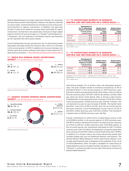Nielsen Media Research provides important indicators for assessing the advertising market's development. However, the data are collected on a gross basis, meaning that they do not take account of discounts, self-promotion or agency commission. In addition, the data also include TV spots from media-for-revenue-share and media-for-equity transactions. Furthermore, the advertising revenues of major digital players from the US such as Google LLC ("Google") and Facebook Inc. ("Facebook") are not reflected in the Nielsen figures and therefore do not represent the entire gross market.

From ProSiebenSat.1 Group's perspective, the TV advertising market developed noticeably below the previous year's level on a net basis in the second quarter of 2019. In addition to structural changes, the dimmer general economic outlook is also likely to have influenced TV advertising investment.  $\rightarrow$  [Future Business and Industry Environment, page 22](#page-21-1)

#### <span id="page-6-0"></span>02 / MEDIA MIX GERMAN GROSS ADVERTISING MARKET in %, Q2 2018 figures in parentheses



**Source:** Nielsen Media Research.

### <span id="page-6-1"></span>03 / MARKET SHARES GERMAN GROSS ADVERTISING MARKET in %, Q2 2018 figures in parentheses



**Source:** Nielsen Media Research.

### 04 / TV ADVERTISING MARKETS IN GERMANY, AUSTRIA AND SWITZERLAND ON A GROSS BASIS in %

|             | Development of<br>the TV advertising<br>market in Q2 2019<br>(Change against<br>previous year) | <b>Market shares</b><br>ProSiebenSat.1<br>Group<br>Q2 2019 | <b>Market shares</b><br>ProSiebenSat.1<br>Group<br><b>Q2 2018</b> |
|-------------|------------------------------------------------------------------------------------------------|------------------------------------------------------------|-------------------------------------------------------------------|
| Germany     | 0.5                                                                                            | 38.4                                                       | 38.1                                                              |
| Austria     | 3.3                                                                                            | 44.5                                                       | 43.3                                                              |
| Switzerland | $-7.2$                                                                                         | 29.0                                                       | 28.5                                                              |

**Germany:** Gross, Nielsen Media. / **Austria:** Gross, Media Focus, April –May. **Switzerland :** The market shares relate to the German-speaking part of Switzerland, gross, Media Focus.

### 05 / TV ADVERTISING MARKETS IN GERMANY, AUSTRIA AND SWITZERLAND ON A GROSS BASIS in %

|             | Development of<br>the TV advertising<br>market in H1 2019<br>(Change against<br>previous year) | <b>Market shares</b><br><b>ProSiebenSat.1</b><br>Group<br>H1 2019 | <b>Market shares</b><br>ProSiebenSat.1<br>Group<br>H1 2018 |
|-------------|------------------------------------------------------------------------------------------------|-------------------------------------------------------------------|------------------------------------------------------------|
| Germany     | $-0.8$                                                                                         | 38,1                                                              | 38.5                                                       |
| Austria     | $-0.1$                                                                                         | 44,9                                                              | 43.3                                                       |
| Switzerland | $-2.4$                                                                                         | 27,8                                                              | 29.0                                                       |

**Germany:** Gross, Nielsen Media. / **Austria:** Gross, Media Focus, January–May. **Switzerland :** The market shares relate to the German-speaking part of Switzerland, gross, Media Focus.

Advertising budgets for in-stream video ads developed dynamically: The gross market volume in Germany increased by 31.3% to EUR 183.8 million in the second quarter of 2019 (previous year: EUR 140.0 million) and amounted to EUR 337.9 million in the first half of the year (previous year: EUR 261.7 million). By selling in-stream video ads, which are shown online before, after or during a video stream, ProSiebenSat.1 Group generated gross revenues of EUR 92.0 million in the second quarter of 2019 (previous year: EUR 66.3 million). This corresponds to a year-on-year increase of 38.8%. The market share therefore, rose from 47.4% to 50.1%. Over the six-month period, the gross revenues of the ProSiebenSat.1 Group rose by 37.2% to EUR 165.2 million (previous year: EUR 120.4 million). This resulted in a market share of 48.9% (previous year: 46.0%).

Overall, investments in online forms of advertising rose by 2.2% to EUR 890.6 million in the second quarter of 2019 (previous year: EUR 871.8 million), allowing the Group to increase its gross revenues by 21.9% to EUR 110.7 million (previous year: EUR 90.8 million). In the six-month period, the investments amounted to EUR 1.73 billion (previous year: EUR 1.67 billion). ProSiebenSat.1 Group thus generated gross revenues of EUR 199.1 million in the first half of the year (+19.9%). In addition to in-stream videos, the online advertising market also includes display ads such as traditional banners and buttons. The official Nielsen Media Research online advertising statistics only include advertisement that is displayed on the websites of the Circle of Online Marketers (OVK). No data is available for advertising on digital platforms such as Google/YouTube, Facebook, or Amazon Inc. ("Amazon"), as these providers do not report their gross revenues to Nielsen Media Research.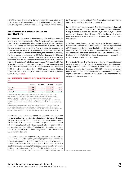In ProSiebenSat.1 Group's view, the online advertising market on a net basis developed above previous year's level in the second quarter of 2019. This is particularly attributable to the growing in-stream market.

# Development of Audience Shares and User Numbers

ProSiebenSat.1 Group has further increased its audience share in Germany: In the second quarter of 2019, the Group's seven German free TV stations achieved a joint market share of 28.4% (previous year: 27.1%) among viewers aged between 14 and 49 years. This was the best second-quarter result in four years and corresponded to a year-on-year increase of 1.2 percentage points. There was also a positive development in the first half of the year: In the first six months, the Group posted a market share of 28.1% (previous year: 26.9%), the highest level for the first half of a year since 2016. The increase in ProSiebenSat.1 Group's audience share is particularly attributable to growth in the stations ProSieben, kabel eins and ProSieben MAXX. The latter station posted its best half-year result since it was established in 2013. The stations marketed by IP Deutschland had a market share of 25.2% in the second quarter of 2019 (previous year: 23.0%). In the first half of the year, their share came to 25.8% (previous year:  $24.5\%$ ).  $\rightarrow$  Fig. 06

### 06 / AUDIENCE SHARES OF PROSIEBENSAT.1 GROUP in %

|             | Q2 2019 | 02 2018 | H1 2019 | H1 2018 |
|-------------|---------|---------|---------|---------|
| Germany     | 28.4    | 27.1    | 28.1    | 26.9    |
| Austria     | 28.2    | 27.9    | 27.5    | 28.1    |
| Switzerland | 17.7    | 16.7    | 17.9    | 17 1    |

**Germany:** ProSiebenSat.1 Group: SAT.1, ProSieben, kabel eins, sixx, SAT.1 Gold, ProSieben MAXX, kabel eins Doku; AGF in cooperation with GfK | videoSCOPE 1.2 | market standard: TV | prepared on July 4, 2019; target group: 14–49. **Austria:** AGTT/GfK TELETEST; Evogenius Reporting; January 1, 2019–June 30, 2019; weighted for number of people; including VOSDAL/time-shift; standard, target group: 12–49.

**Switzerland:** Figures are based on 24 hours (Mon–Sun). SAT.1 Schweiz, ProSieben Schweiz, kabel eins Schweiz, sixx Schweiz, SAT.1 Gold Schweiz, ProSieben MAXX Schweiz, Puls 8; advertising-relevant target group 15–49; market shares relate to the German-speaking part of Switzerland; total signal. Source: Mediapulse TV Panel.

With sixx, SAT.1 GOLD, ProSieben MAXX and kabel eins Doku, the Group has launched four new special-interest stations in Germany in the past few years, thereby extending its lead in the audience market. Today, ProSiebenSat.1 Group has seven brands in its principal revenue market, which complement each other synergistically and address different target groups. In addition, ProSiebenSat.1 Group has a complementary profile with various advertising-financed free TV stations in Austria and Switzerland.

In addition to increasingly specific, targeted approaches to viewers and the sale of advertising spots, ongoing digitalization is opening up new revenue models for the TV business. For instance, in the free TV business, ProSiebenSat.1 Group participates in the technical service fees that end customers pay to the respective providers for programs in HD quality. In Germany, ProSiebenSat.1 HD stations were able to increase the number of users to 9.8 million in the second quarter of

2019 (previous year: 9.1 million)<sup>1</sup>. The Group also broadcasts its programs in HD quality in Austria and Switzerland.

In addition, the Company develops offers that incorporate various platforms based on the main medium of TV. In June 2019, ProSiebenSat.1 Group launched its streaming platform Joyn GmbH ("Joyn") in cooperation with Discovery Inc. ("Discovery"). In the first week after its launch on June 18, 2019, Joyn already recorded over 1 million users in Germany.

A further essential component of ProSiebenSat.1 Group's portfolio is the digital studio Studio71, which pools the Group's digital content offerings and distributes them via digital platforms. In the second quarter of 2019, digital studio Studio71 generated over 9.7 billion video views per month worldwide (previous year: 8.9 billion video views). In the first half of 2019, 9.9 billion video views per month were achieved (previous year: 8.6 billion video views).

Due to the 26% growth of its digital viewtime in the second quarter of 2019 as well as the rising audience market shares, ProSiebenSat.1 Group recorded a total video viewtime of 257,043 million minutes in the second quarter (previous year: 256,400 million minutes), meaning the total number of minutes viewed on the linear channels and digital entertainment platforms of the Group. This is a growth of 0.3% compared to the previous year.

1 As of May 31, 2019 (and May 31, 2018)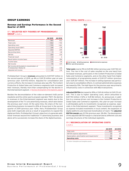### <span id="page-8-1"></span><span id="page-8-0"></span>GROUP EARNINGS

Revenue and Earnings Performance in the Second Quarter of 2019

### 07 / SELECTED KEY FIGURES OF PROSIEBENSAT.1 GROUP in EUR m

|                                                                       | 02 2019 | <b>Q2 2018</b> |
|-----------------------------------------------------------------------|---------|----------------|
| Revenues                                                              | 947     | 912            |
| Total costs                                                           | $-812$  | $-742$         |
| Operating costs                                                       | $-743$  | $-661$         |
| Operating result (EBIT)                                               | 144     | 178            |
| Adjusted EBITDA                                                       | 213     | 259            |
| Reconciling items                                                     | $-9$    | $-28$          |
| EBITDA                                                                | 204     | 230            |
| Financial result                                                      | $-13$   | 6              |
| Result before income taxes                                            | 131     | 184            |
| Income taxes                                                          | $-37$   | $-59$          |
| Net income                                                            | 94      | 125            |
| Net income attributable to shareholders of<br>ProSiebenSat.1 Media SE | 93      | 126            |
| Adjusted net income                                                   | 85      | 136            |
|                                                                       |         |                |

ProSiebenSat.1 Group's **revenues** amounted to EUR 947 million in the second quarter of 2019, up 4% or EUR 35 million year-on-year (previous year: EUR 912 million). Adjusted for consolidation and currency effects, the increase in revenues also was 4%. The Content Production & Global Sales and Commerce segments both increased their revenues, thereby more than compensating for the decline in the Entertainment segment.  $\rightarrow$  [Business Development of the Segments, page 12](#page-11-1)

Besides the deconsolidation of the video-on-demand (VoD) portal maxdome and the online sports program operator 7NXT, the decline in revenues in the Entertainment segment was mainly due to the development of the TV core advertising revenues, which were below the previous year's level. At the same time, the share of the nonadvertising business increased to 45% at Group level in the second quarter of 2019 (previous year: 42%). Here, ProSiebenSat.1 Group grew both organically and as a result of acquisitions to expand the digital portfolio. ProSiebenSat.1 Group's objective is to generate additional revenues beyond the traditional TV advertising business and above all to successively increase the share of the digital business.

#### 08 / TOTAL COSTS in EUR m



■ Cost of sales ■ Selling expenses ■ Administrative expenses Other operating expenses

**Total costs** rose by 9% to EUR 812 million (previous year: EUR 742 million). The rise in the cost of sales resulted on the one hand from increased revenues, particularly in the Content Production & Global Sales and Commerce segments, and on the other hand from higher consumption of programming assets of EUR 217 million (previous year: EUR 207 million). The increase in selling expenses was particularly due to consolidation effects. In contrast administrative expenses decreased by 15%. The high figure for the previous year was primarily influenced by costs in connection with M&A transactions.

**Adjusted EBITDA** decreased by 18% or EUR 46 million to EUR 213 million. This is due to higher operating costs, which amounted to EUR 743 million (+12% or EUR 82 million). As announced, in addition to a revenue-driven cost increase in the Content Production & Global Sales and Commerce segments, this year-on-year increase is attributable partly to investments recognized as expense, especially in the Entertainment segment. These investments recognized as expense included investments in local content, the expansion of digital platforms and improved monetization of reach. The **adjusted EBITDA margin** was 22.5% (previous year: 28.4%). The development of the adjusted EBITDA margin is characterized by different cost and earnings structures of the individual segments.

### 09 / RECONCILIATION OF OPERATING COSTS in EUR m

|                                                         | 02 2019 | 02 2018 |
|---------------------------------------------------------|---------|---------|
| Total costs                                             | 812     | 742     |
| EBITDA expense adjustments                              | 10      | 29      |
| Depreciation, amortization and impairments <sup>1</sup> | 59      |         |
| <b>Operating costs</b>                                  | 743     | 661     |

1 Of other intangible and tangible assets.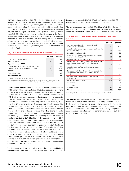**EBITDA** declined by 12% or EUR 27 million to EUR 204 million in the second quarter of 2019. This figure was influenced by reconciling items of minus EUR 9 million (previous year: EUR – 28 million), which comprised the following: Expenses in connection with reorganization increased by EUR 6 million to EUR 8 million. Expenses of EUR 2 million resulted from M&A projects in the second quarter of 2019 (previous year: EUR 20 million), which were primarily attributable to the Entertainment segment. Other EBITDA effects amounted to EUR 0 million (previous year: EUR –6 million). This item mainly includes fair value adjustments of share-based payments amounted to EUR 1 million (previous year: EUR 2 million). The expenses from other material one-time items of minus EUR 2 million (previous year: EUR – 10 million) had an opposite effect.

### 10 / RECONCILIATION OF ADJUSTED EBITDA in EUR m

|                                                         | <b>Q2 2019</b> | <b>Q2 2018</b> |
|---------------------------------------------------------|----------------|----------------|
| Result before income taxes                              | 131            | 184            |
| Financial result                                        | $-13$          | 6              |
| <b>Operating result (EBIT)</b>                          | 144            | 178            |
| Depreciation, amortization and impairments <sup>1</sup> | $-59$          | $-52$          |
| thereof from purchase price allocations                 | $-13$          | $-12$          |
| <b>EBITDA</b>                                           | 204            | 230            |
| Reconciling items <sup>2</sup>                          | $-9$           | $-28$          |
| <b>Adjusted EBITDA</b>                                  | 213            | 259            |

1 Of other intangible and tangible assets.

<sup>2</sup> EBITDA expense adjustments of minus EUR 10 million (previous year: EUR –29 million) less income adjustments of EUR 0 million (previous year: EUR 1 million).

The **financial result** totaled minus EUR 13 million (previous year: EUR 6 million). This is mainly attributable to the negative development of the result from investments accounted for using the equity method, which amounted to minus EUR 12 million (previous year: EUR –2 million). As expected, this was due to the planned investments in the joint venture with Discovery, which operates the streaming platform Joyn. Joyn was successfully launched on June 18, 2019. Less than 24 hours after its start, the app was already number 1 in the download charts in Germany. Joyn offers livestreams from over 50 TV channels and an extensive on-demand offer of series produced in-house, shows and exclusive previews. The **other financial result** totaled EUR 13 million (previous year: EUR 25 million) and comprised the following: Impairments and reversals of impairment on financial assets amounted to EUR 24 million in the second quarter of 2019 (previous year: EUR 29 million). EUR 23 million of this was attributable to the reassessment of put-options (previous year: EUR 33 million) and EUR 7 million to earn-out liabilities (previous year: EUR 0 million). The two biggest items were the valuation of shares in the US film distributor Gravitas Ventures, LLC ("Gravitas Ventures") as a result of the changed expectations for future cash inflows and the valuation of shares in digital studio Studio71. Other financing costs of minus EUR 5 million (previous year: 0 million) and results of currency conversion of minus EUR 6 million (previous year: –5 million) had an opposite effect. The **interest result** amounted to minus EUR 14 million (previous year: EUR – 17 million).

The developments described resulted in a decline in the **result before income taxes** to EUR 131 million (previous year: EUR 184 million). **Income taxes** amounted to EUR 37 million (previous year: EUR 59 million) with a tax rate of 28.5% (previous year: 32.0%).

The **net income** decreased by EUR 32 million to EUR 94 million (previous year: EUR 125 million). The net income attributable to shareholders of ProSiebenSat.1 Media SE fell by EUR 33 million to EUR 93 million.

### 11 / RECONCILIATION OF ADJUSTED NET INCOME in EUR m

|                                                                                                                 | 02 2019 | 02 2018 |
|-----------------------------------------------------------------------------------------------------------------|---------|---------|
| Net income attributable to shareholders of<br>ProSiebenSat.1 Media SE                                           | 93      | 126     |
| Valuation effects relating to strategic realignments<br>of business units                                       | $-1$    | $-/-$   |
| Other EBITDA adjustments                                                                                        | 10      | 28      |
| Depreciation, amortization and impairments from<br>purchase price allocations <sup>1</sup>                      | 13      | 13      |
| Impairments on other financial assets                                                                           | 11      | 5       |
| Reversal of impairment, reassessment and income<br>from the sale accounted for using the equity<br>method       | $-4$    | $-/-$   |
| Valuation effects of put-options and earn-out<br>liabilities                                                    | $-30$   | $-28$   |
| Subsequent valuation effects relating to strategic<br>realignments of business units in the financial<br>result | 5       | $-/-$   |
| Valuation effects from interest rate hedging<br>transactions                                                    | $-1$    |         |
| Reassessment of tax risks                                                                                       | $-/-$   | $-1$    |
| Other effects                                                                                                   | $-2$    | $-2$    |
| Tax effects                                                                                                     | $-6$    | $-1$    |
| Minority interests                                                                                              | $-5$    | - 4     |
| <b>Adjusted net income</b>                                                                                      | 85      | 136     |

<sup>1</sup> Including effects on associates consolidated using the equity method.

The **adjusted net income** was down 38% year-on-year and amounted to EUR 85 million (previous year: EUR 136 million). This item is adjusted by the mentioned reconciling items and presented in the reconciliation. These include the effects recognized in the other financial result as well as the expenses resulting from restructuring and portfolio measures. Basic adjusted earnings per share amounted to EUR 0.37 (previous year: EUR 0.60).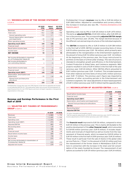### 12 / RECONCILIATION OF THE INCOME STATEMENT

in EUR m

|                                                                         | 02 2019<br><b>IFRS</b> | Adjust-<br>ments | 02 2019<br>adjusted |
|-------------------------------------------------------------------------|------------------------|------------------|---------------------|
| Revenues                                                                | 947                    | $-/-$            | 947                 |
| Total costs                                                             | $-812$                 | $-24$            | $-788$              |
| thereof operating costs                                                 | $-743$                 | $-/-$            | $-743$              |
| thereof depreciation, amortization<br>and impairments                   | $-59$                  | $-14$            | $-46$               |
| Other operating income                                                  | 9                      | $\Omega$         | 9                   |
| <b>Operating result (EBIT)</b>                                          | 144                    | $-23$            | 168                 |
| <b>Financial result</b>                                                 | $-13$                  | 21               | $-35$               |
| Result before income taxes                                              | 131                    | $-2$             | 133                 |
| Income taxes                                                            | $-37$                  | 6                | $-43$               |
| <b>NET INCOME</b>                                                       | 94                     | 4                | 90                  |
|                                                                         |                        |                  |                     |
| Net income attributable to sharehold-<br>ers of ProSiebenSat.1 Media SE | 93                     | 9                | 85                  |
| Net income attributable to<br>non-controlling interests                 | 1                      | $-5$             | 5                   |
|                                                                         |                        |                  |                     |
| Result before income taxes                                              | 131                    | $-2$             | 133                 |
| Financial result                                                        | $-13$                  | 21               | $-35$               |
| <b>Operating result (EBIT)</b>                                          | 144                    | $-23$            | 168                 |
| Depreciation, amortization and<br>impairments                           | $-59$                  | $-14$            | $-46$               |
| thereof from purchase price<br>allocations                              | $-13$                  | $-13$            | $-/-$               |
| <b>EBITDA</b>                                                           | 204                    | - 9              | 213                 |

ProSiebenSat.1 Group also uses non-IFRS figures in the form of adjusted net income (1) and adjusted EBITDA (2). This publication takes into account the development of reporting practices for non-IFRS figures and more stringent regulatory transparency requirements in this area.

### Revenue and Earnings Performance in the First Half of 2019

#### 13 / SELECTED KEY FIGURES OF PROSIEBENSAT.1 GROUP in EUR m

|                                                                       | H1 2019  | H1 2018  |
|-----------------------------------------------------------------------|----------|----------|
| Revenues                                                              | 1,860    | 1,794    |
| Total costs                                                           | $-1,605$ | $-1,550$ |
| Operating costs                                                       | $-1,475$ | $-1,350$ |
| Operating result (EBIT)                                               | 273      | 260      |
| Adjusted EBITDA                                                       | 403      | 459      |
| Reconciling items                                                     | $-19$    | $-96$    |
| EBITDA                                                                | 384      | 363      |
| Financial result                                                      | 36       | $-30$    |
| Result before income taxes                                            | 309      | 230      |
| Income taxes                                                          | $-94$    | $-75$    |
| Net income                                                            | 215      | 155      |
| Net income attributable to shareholders of<br>ProSiebenSat.1 Media SE | 215      | 153      |
| Adjusted net income                                                   | 179      | 230      |

ProSiebenSat.1 Group's **revenues** rose by 4% or EUR 66 million to EUR 1,860 million. Adjusted for consolidation and currency effects, the increase in revenues also was  $4\%$ .  $\rightarrow$  [Business Development of the](#page-11-1) [Segments, page 12](#page-11-1)

Operating costs rose by 9% or EUR 125 million to EUR 1,475 million. This led to an **adjusted EBITDA** of EUR 403 million, after EUR 459 million in the previous year. The corresponding **adjusted EBITDA margin** was 21.7% (previous year: 25.6%). The margin declined because of the different cost and earnings structures of the individual segments.

The **EBITDA** increased by 6% or EUR 21 million to EUR 384 million in the first half of 2019. EBITDA included reconciling items of minus EUR 19 million (previous year: EUR –96 million), which primarily were attributable to the reorganization in the Entertainment segment in the amount of minus EUR 16 million (previous year: EUR –63 million). At the beginning of the previous year, the Group restructured its portfolio on the basis of a three-pillar strategy. This new structure is intended to strengthen growth and efficiency in the Entertainment, Content Production & Global Sales, and Commerce segments. M&A projects resulted in costs of EUR 4 million in the first half of the year (previous year: EUR 24 million). Other EBITDA effects amounted to EUR 1 million (previous year: EUR –9 million). This included expenses from other material one-time items of minus EUR 2 million (previous year: EUR – 11 million). The previous year's figure was impacted by expenses of other accounting periods in the Entertainment and Commerce segments. Fair value adjustments of share-based payments of EUR 3 million (previous year: EUR 0 million) had the opposite effect.

### 14 / RECONCILIATION OF ADJUSTED EBITDA in EUR m

|                                                         | H1 2019 | H1 2018 |
|---------------------------------------------------------|---------|---------|
| Result before income taxes                              | 309     | 230     |
| Financial result                                        | 36      | $-30$   |
| <b>Operating result (EBIT)</b>                          | 273     | 260     |
| Depreciation, amortization and impairments <sup>1</sup> | $-110$  | $-103$  |
| thereof from purchase price allocations                 | $-25$   | $-24$   |
| <b>EBITDA</b>                                           | 384     | 363     |
| Reconciling items <sup>2</sup>                          | $-19$   | $-96$   |
| <b>Adjusted EBITDA</b>                                  | 403     | 459     |

1 Of other intangible and tangible assets.

<sup>2</sup> EBITDA expense adjustments of EUR 20 million (previous year: EUR 97 million) less income adjustments of EUR 0 million (previous year: EUR 1 million).

The **financial result** improved to EUR 36 million, compared to minus EUR 30 million in the previous year. This is mainly attributable to the positive development of the **other financial result**, which amounted to EUR 80 million (previous year: EUR 15 million). It includes impairments and reversals of impairment as well as income from the reassessment of financial assets, which increased by EUR 81 million to EUR 101 million in the first half of 2019 (previous year: EUR 20 million). These result in particular from the sale of shares in the global video service Pluto Inc. ("Pluto") in the amount of EUR 22 million and from the reassessment of the former shares in Marketplace (EUR 27 million) in connection with the increase in the share and full consolidation of the newly founded be Around. The reassessment of put options accounted for EUR 39 million (previous year: EUR 24 million).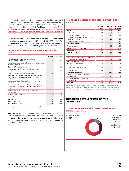<span id="page-11-0"></span>In addition, the valuation effects from earn-out liabilities increased to EUR 20 million (previous year: EUR 0 million). Results of currency conversion of minus EUR 14 million (previous year: – 3 million) and other financing costs of minus EUR 7 million (previous year: – 2 million) had also an opposite effect in the half year.  $\rightarrow$  [Notes, Note 3 "Acquisi](#page-33-0)[tions, disposals and other transactions affecting the scope of consolidation", page](#page-33-0) [34](#page-33-0) → Note [7 "Financial instruments", page 39](#page-38-0)

The developments described resulted in an increase in the **result before income taxes** of 34% or EUR 79 million to EUR 309 million. The **net income** attributable to shareholders of ProSiebenSat.1 Media SE increased to EUR 215 million (previous year: EUR 153 million).

#### 15 / RECONCILIATION OF ADJUSTED NET INCOME in EUR m

|                                                                                                                 | H1 2019                  | H1 2018 |
|-----------------------------------------------------------------------------------------------------------------|--------------------------|---------|
| Net income attributable to shareholders of<br>ProSiebenSat.1 Media SE                                           | 215                      | 153     |
| Valuation effects relating to strategic realignments<br>of business units                                       | $-1$                     | $-/-$   |
| Other EBITDA adjustments                                                                                        | 20                       | 96      |
| Depreciation, amortization and impairments from<br>purchase price allocations <sup>1</sup>                      | 26                       | 24      |
| Impairments on other financial assets                                                                           | 14                       | 11      |
| Reversal of impairment, reassessment and income<br>from the sale accounted for using the equity<br>method       | $-53$                    | 0       |
| Valuation effects of put-options and earn-out<br>liabilities                                                    | $-56$                    | $-22$   |
| Subsequent valuation effects relating to strategic<br>realignments of business units in the financial<br>result | 5                        | $-/-$   |
| Valuation effects from interest rate hedging<br>transactions                                                    | $-1$                     | 0       |
| Reassessment of tax risks                                                                                       | $-/-$                    | 5       |
| Other effects                                                                                                   | $\overline{\phantom{0}}$ | $-4$    |
| Tax effects                                                                                                     | 8                        | $-27$   |
| Minority interests                                                                                              | $\Omega$                 | - 6     |
| Adjusted net income                                                                                             | 179                      | 230     |

<sup>1</sup> Including effects on associates consolidated using the equity method.

**Adjusted net income** amounted to EUR 179 million (previous year: EUR 230 million). Reconciling items can influence or even overshadow operating performance; figures adjusted for such items therefore offer supplementary information for the assessment of the Company's operating performance.

### 16 / RECONCILIATION OF THE INCOME STATEMENT

|  | and the contract of the contract of |  |
|--|-------------------------------------|--|

|                                                                         | H1 2019<br><b>IFRS</b> | Adjust-<br>ments | H1 2019<br>adjusted |
|-------------------------------------------------------------------------|------------------------|------------------|---------------------|
| Revenues                                                                | 1,860                  | $-/-$            | 1,860               |
| Total costs                                                             | $-1,605$               | $-46$            | $-1,559$            |
| thereof operating costs                                                 | $-1,475$               | $-/-$            | $-1.475$            |
| thereof depreciation, amortization<br>and impairments                   | $-110$                 | $-26$            | $-84$               |
| Other operating income                                                  | 18                     | $\Omega$         | 17                  |
| <b>Operating result (EBIT)</b>                                          | 273                    | $-45$            | 319                 |
| <b>Financial result</b>                                                 | 36                     | 90               | $-54$               |
| Result before income taxes                                              | 309                    | 45               | 264                 |
| Income taxes                                                            | $-94$                  | - 8              | $-86$               |
| <b>NET INCOME</b>                                                       | 215                    | 36               | 178                 |
|                                                                         |                        |                  |                     |
| Net income attributable to sharehold-<br>ers of ProSiebenSat.1 Media SE | 215                    | 37               | 179                 |
| Net income attributable to<br>non-controlling interests                 | $-1$                   | $\mathbf{0}$     | $\Omega$            |
|                                                                         |                        |                  |                     |
| Result before income taxes                                              | 309                    | 45               | 264                 |
| <b>Financial result</b>                                                 | 36                     | 90               | $-54$               |
| <b>Operating result (EBIT)</b>                                          | 273                    | $-45$            | 319                 |
| Depreciation, amortization and<br>impairments                           | $-110$                 | $-26$            | $-84$               |
| thereof from purchase price<br>allocations                              | $-25$                  | $-25$            | $-/-$               |
| <b>EBITDA</b>                                                           | 384                    | $-19$            | 403                 |

ProSiebenSat.1 Group also uses non-IFRS figures in the form of adjusted net income (1) and adjusted EBITDA (2). This publication takes into account the development of reporting practices for non-IFRS figures and more stringent regulatory transparency requirements in this area.

# <span id="page-11-1"></span>BUSINESS DEVELOPMENT OF THE **SEGMENTS**

### 17 / REVENUE SHARE BY SEGMENT IN Q2 2019 in %, Q2 2018 figures in parentheses

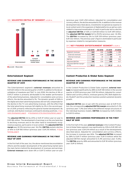



 $\Box$  02 2019  $\Box$  02 2018

### Entertainment Segment

### REVENUE AND EARNINGS PERFORMANCE IN THE SECOND QUARTER OF 2019

The Entertainment segment's **external revenues** amounted to EUR 601 million in the second quarter of 2019. In addition to the deconsolidation of maxdome and 7NXT in July 2018, this decline of 4% or EUR 27 million is primarily attributable to the weaker performance of the advertising business. Adjusted for consolidation and currency effects, the decline amounted to 1%. The dynamic growth of 26% in the digital and smart advertising business did not fully compensate for the decline in the TV core advertising revenues, with the effect that the total advertising revenues fell slightly by 2% in the second quarter of 2019, primarily reflecting the general market development. By contrast, distribution revenues continued to develop positively.  $\rightarrow$  [Eco](#page-5-1)[nomic Development, page 6](#page-5-1)  $\rightarrow$  [Development of the Advertising Market, page 6](#page-5-2)

The **adjusted EBITDA** fell by 20% or EUR 47 million year-on-year to EUR 186 million. The development of earnings is on the one hand due to declining revenues and on the other hand to investments recognized as expense, particularly in local content. The **adjusted EBITDA margin** was 30.5% (previous year: 36.2%). **EBITDA** posted a decline of 16% to EUR 180 million (previous year: EUR 215 million).  $\rightarrow$  [Group](#page-8-1) [Earnings, page](#page-8-1) [9](#page-8-1)

### REVENUE AND EARNINGS PERFORMANCE IN THE FIRST HALF OF 2019

In the first half of the year, too, the above-mentioned deconsolidation effects and the weaker development of the advertising market were the main factors behind the development of revenues and earnings: **External revenues** were down 6% or EUR 72 million year-on-year (previous year: EUR 1,252 million). Adjusted for consolidation and currency effects, the decline amounted to 2%. In addition to the revenue development described above, investments recognized as expense in local content and in the expansion of digital platforms as well as costs related to improved monetization of reach in particular led to a decline in **adjusted EBITDA** of 16% or EUR 68 million to EUR 349 million. The **adjusted EBITDA margin** fell to 29.0% (previous year: 32.4%). The **EBITDA** increased by 2% to EUR 339 million (previous year: EUR 332 million). The previous year's figure is dominated in particular by expenses related to reorganization measures.

#### 19 / KEY FIGURES ENTERTAINMENT SEGMENT in EUR m

|                                     | Q2 2019 | 02 2018 | H1 2019 | H1 2018 |
|-------------------------------------|---------|---------|---------|---------|
| Segment revenues                    | 612     | 646     | 1,204   | 1,288   |
| External revenues                   | 601     | 628     | 1,180   | 1,252   |
| Internal revenues                   | 12      | 18      | 24      | 36      |
| EBITDA                              | 180     | 215     | 339     | 332     |
| <b>Adjusted EBITDA</b>              | 186     | 234     | 349     | 417     |
| Adjusted EBITDA margin <sup>1</sup> | 30.5    | 36.2    | 29.0    | 32.4    |
| (in %)                              |         |         |         |         |

1 Based on segment revenues.

### Content Production & Global Sales Segment

### REVENUE AND EARNINGS PERFORMANCE IN THE SECOND QUARTER OF 2019

In the Content Production & Global Sales segment, **external revenues** increased significantly by 28% to EUR 148 million in the second quarter of 2019 (previous year: EUR 116 million). Adjusted for consolidation and currency effects, revenues grew by 21%. Both digital studio Studio71 and the production business posted sustained dynamic growth.

**Adjusted EBITDA** was on par with the previous year at EUR 9 million; the corresponding **adjusted EBITDA margin** amounted to 5.3% (previous year: 7.3%) and reflects the different margin structures of the individual business models. **EBITDA** increased by EUR 2 million to EUR 10 million.

### REVENUE AND EARNINGS PERFORMANCE IN THE FIRST HALF OF 2019

In the first half of the year, **external revenues** in the Content Production & Global Sales segment rose significantly by 33% to EUR 283 million (previous year: EUR 214 million) as a result of the developments described above. Adjusted for consolidation and currency effects, the increase in revenues was 26%. The **adjusted EBITDA** increased by 28% to EUR 17 million (previous year: EUR 13 million) while the adjusted EBITDA margin amounted to 5.4% (previous year: 5.6%). The **EBITDA** grew by 48% and amounted to EUR 18 million (previous year: EUR 12 million).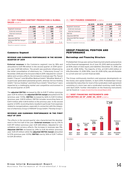# <span id="page-13-0"></span>20 / KEY FIGURES CONTENT PRODUCTION & GLOBAL SALES in EUR m

|                                               | <b>Q2 2019</b> | <b>Q2 2018</b> | H1 2019 | H1 2018 |
|-----------------------------------------------|----------------|----------------|---------|---------|
| Segment revenues                              | 171            | 130            | 319     | 239     |
| External revenues                             | 148            | 116            | 283     | 214     |
| Internal revenues                             | 23             | 14             | 36      | 26      |
| <b>EBITDA</b>                                 | 10             | 8              | 18      | 12      |
| Adjusted EBITDA                               | q              | q              | 17      | 13      |
| Adjusted EBITDA margin <sup>1</sup><br>(in %) | 5.3            | 7.3            | 5.4     | 5.6     |

1 Based on segment revenues.

### Commerce Segment

### REVENUE AND EARNINGS PERFORMANCE IN THE SECOND QUARTER OF 2019

**External revenues** in the Commerce segment rose by 18% and amounted to EUR 198 million in the second quarter of 2019 (previous year: EUR 168 million). The growth was positively influenced by the initial consolidation of eHarmony Inc. ("eHarmony Group") in November 2018 and of be Around in March 2019. Adjusted for consolidation and currency effects, the increase in revenues was 7%. Flaconi GmbH ("Flaconi") and WindStar Medical GmbH ("WindStar Medical") in particular generated substantial growth, whereas Verivox Holding GmbH ("Verivox Holding") and SilverTours GmbH ("SilverTours") were impacted by a challenging market and competitive environment in the second quarter of 2019.

The **adjusted EBITDA** increased by 8% to EUR 17 million (previous year: EUR 16 million); the **adjusted EBITDA margin** amounted to 8.7% (previous year: 9.5%). **EBITDA** increased by 66% to EUR 13 million (previous year: EUR 8 million). EBITDA includes reconciling items of EUR 4 million after EUR 8 million in the previous year. In the second quarter of 2019, reconciling items resulted in particular from expenses related to reorganizations, especially in connection with the integration of eHarmony Group in PARSHIP Group GmbH ("Parship Group").

### REVENUE AND EARNINGS PERFORMANCE IN THE FIRST HALF OF 2019

The effects in the second quarter also characterized the development in the first half of the year: **External revenues** rose by 21% to EUR 397 million (previous year: EUR 328 million). Adjusted for consolidation and currency effects, the increase in revenues was 11%. **Adjusted EBITDA** increased by 24% to EUR 36 million (previous year: EUR 29 million) while the **adjusted EBITDA margin** amounted to 9.1% (previous year: 8.9%). **EBITDA** rose by 36% or EUR 7 million to EUR 28 million.

### 21 / KEY FIGURES COMMERCE in EUR m

|                                               | Q2 2019 | <b>Q2 2018</b> | H1 2019 | H1 2018 |
|-----------------------------------------------|---------|----------------|---------|---------|
| Segment revenues                              | 198     | 168            | 397     | 328     |
| External revenues                             | 198     | 168            | 397     | 328     |
| Internal revenues                             | 0       |                |         |         |
| <b>EBITDA</b>                                 | 13      | 8              | 28      | 20      |
| Adjusted EBITDA                               | 17      | 16             | 36      | 29      |
| Adjusted EBITDA margin <sup>1</sup><br>(in %) | 8.7     | 9.5            | 9.1     | 8.9     |

1 Based on segment revenues.

### GROUP FINANCIAL POSITION AND PERFORMANCE

### <span id="page-13-1"></span>Borrowings and Financing Structure

ProSiebenSat.1 Group uses various financing instruments and practices active financial management. As of June 30, 2019, debt accounted for an 83% share of total equity and liabilities (December 31, 2018, and June 30, 2018: 83%). The majority of this, at EUR 3,200 million or 61% (December 31, 2018: 59%; June 30, 2018: 62%), was attributable to current and non-current financial debt.

The Group continuously monitors and assesses developments on the money and capital markets. In April 2019, ProSiebenSat.1 Group extended the maturities for most of the syndicated credit agreement consisting of a term loan and a syndicated revolving credit facility until April 2024. Further information on the financing instruments can be found on  $\rightarrow$  [pages 113 and 114 of the Annual Report 2018](https://www.prosiebensat1.com/en/investor-relations/publications/annual-reports).

### 22 / DEBT FINANCING INSTRUMENTS AND MATURITIES AS OF JUNE 30, 2019 in EUR m



1 Not drawn.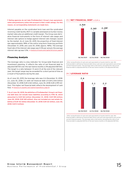**Rating agencies do not take ProSiebenSat.1 Group's loan agreement, notes and promissory notes into account in their credit ratings. For this reason, no corresponding statements are made here.**

Interest payable on the syndicated term loan and the syndicated revolving credit facility (RCF) is variable and based on Euribor money market rates plus an additional credit margin. The Group uses derivative financial instruments in the form of interest rate swaps and interest rate options to hedge against interest rate changes caused by the market. As of June 30, 2019, the proportion of fixed interest was approximately 98% of the entire long-term financing portfolio (December 31, 2018, and June 30, 2018: approx. 98%). The average fixed rate of the interest rate swaps was 0.5% per annum; the average interest rate cap was 1.0%.  $\rightarrow$  [Analysis of Assets and Capital Structure, page 18](#page-17-0)

### Financing Analysis

The leverage ratio is a key indicator for Group-wide financial and investment planning. It reflects the ratio of net financial debt to adjusted EBITDA over the last twelve months (LTM adjusted EBITDA). The target is a ratio between 1.5 and 2.5 at the end of the relevant year; the target range may be exceeded for a short period of time as a result of fluctuations during the year.

As of June 30, 2019, the leverage ratio was 2.6 (December 31, 2018: 2.1; June 30, 2018: 2.1) with net financial debt of EUR 2,514 million (December 31, 2018: EUR 2,163 million; June 30, 2018: EUR 2,199 million). This higher net financial debt reflects the development of cash  $flow. \rightarrow$  [Analysis of Liquidity and Capital Expenditure, page 16](#page-15-0)

**As of June 30, 2019, the definition of ProSiebenSat.1 Group's net financial debt does not include lease liabilities according to IFRS 16, which amounted to EUR 164 million (December 31, 2018: EUR 155 million; June 30, 2018: EUR 165 million). Also not included are real estate liabilities of EUR 42 million (December 31, 2018: EUR 22 million; June 30, 2018: EUR 0 million).** 

### 23 / NET FINANCIAL DEBT in EUR m



1 After reclassification of cash and cash equivalents of assets held for sale. Net financial debt is defined as financial debt minus cash and cash equivalents and certain current financial assets. The leverage ratio is derived by calculating the ratio of net financial debt to adjusted EBITDA of the last twelve months (LTM adjusted EBITDA).

### 24 / LEVERAGE RATIO



1 After reclassification of cash and cash equivalents of assets held for sale. Net financial debt is defined as financial debt minus cash and cash equivalents and certain current financial assets. The leverage ratio is derived by calculating the ratio of net financial debt to adjusted EBITDA of the last twelve months (LTM adjusted EBITDA).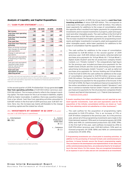### <span id="page-15-0"></span>Analysis of Liquidity and Capital Expenditure

#### 25 / CASH FLOW STATEMENT in FUR m

|                                                                                                     | Q2 2019 | <b>Q2 2018</b> | H1 2019 | H1 2018 |
|-----------------------------------------------------------------------------------------------------|---------|----------------|---------|---------|
| Net income                                                                                          | 94      | 125            | 215     | 155     |
| <b>Cash flow from operating</b><br>activities                                                       | 404     | 266            | 687     | 607     |
| <b>Cash flow from investing</b><br>activities                                                       | $-429$  | -466           | $-766$  | - 751   |
| <b>Free cash flow</b>                                                                               | $-25$   | $-199$         | $-79$   | $-143$  |
| <b>Cash flow from financing</b><br>activities                                                       | - 277   | - 382          | -269    | -414    |
| Effect of foreign exchange<br>rate changes on cash and<br>cash equivalents                          | $-2$    | 20             | 3       | 12      |
| Change in cash and cash<br>equivalents                                                              | $-304$  | $-562$         | $-346$  | $-545$  |
| Cash and cash equivalents<br>at beginning of reporting<br>period                                    | 989     | 1,5761         | 1,031   | 1,5591  |
| Cash and cash equivalents<br>classified under assets<br>held for sale at end of<br>reporting period | $-/-$   | 24             | -/-     | 24      |
| Cash and cash<br>equivalents at end of<br>reporting period <sup>2</sup>                             | 685     | 990            | 685     | 990     |

1 Includes cash and cash equivalents from assets held for sale.

<sup>2</sup> The cash and cash equivalents shown in the cash flow statement correspond to the cash and cash equivalents reported in the statement of financial position as of the respective closing date.

In the second quarter of 2019, ProSiebenSat.1 Group generated **cash flow from operating activities** of EUR 404 million (previous year: EUR 266 million). The increase primarily reflects the change in working capital. The main reason for this is an increase in liabilities, slightly offset by higher receivables. In addition, there was a positive impact from a tax refund. Cash flow from operating activities amounted to EUR 687 million in the first half of 2019 (previous year: EUR 607 million). Here, too, the increase was mainly attributable to the change in working capital and the stated tax refund.

### 26 / INVESTMENTS BY SEGMENT IN Q2 2019<sup>1</sup> in %, previous year''s Q2 2018 figures in parentheses



1 Investments by segment before M&A activities.

For the second quarter of 2019, the Group reports a **cash flow from investing activities** of minus EUR 429 million. This corresponds to a decrease in the cash outflow of 8% or EUR 36 million. This reflects lower payments for additions to the scope of consolidation, while the opposite effect resulted from higher payments for programming investments and increased investments in property, plant and equipment and other intangible assets. The cash outflow in the first half of 2019 amounted to EUR 766 million (previous year: EUR 751 million). The increase resulted from higher payments for programming investments and higher investments in property, plant and equipment and other intangible assets, while lower payments for additions to the scope of consolidation had the opposite effect.

\_ The cash outflow for additions to the scope of consolidation amounted to EUR 85 million in the second quarter of 2019 (previous year: EUR 205 million) and mainly reflected deferred purchase price payments for Virtual Minds AG ("Virtual Minds"), digital studio Studio71 and the US production company Kinetic Content, LLC ("Kinetic Content"). The comparatively high figure for the previous year included purchase price payments for the health brand Zirkulin and the social advertising provider esome advertising technologies GmbH ("esome"), as well as deferred purchase price payments for Verivox Holding and Virtual Minds. In the first half of 2019, the cash outflow for additions to the scope of consolidation amounted to EUR 94 million (previous year: EUR 230 million). The figure for the first half of 2019 also included the purchase price payment for the acquisition of be Around. In the first half of 2018, the figure included purchase price payments for the online cancellation service Aboalarm GmbH ("Aboalarm") and the e-commerce marketer Kairion GmbH ("Kairon") and deferred purchase price payments for the US production companies Kinetic Content and Fabrik Entertainment, LLC ("Fabrik Entertainment").  $\rightarrow$  [Significant Events, page 5](#page-4-1)

### **Assets resulting from initial consolidations are not reported as segment-specific investments. Cash and cash equivalents used for the acquisition of the initially consolidated entities are shown as "cash flow from obtaining control ob subsidiaries or other businesses".**

\_ The cash outflow for the acquisition of programming rights amounted to EUR 275 million. This is an increase of 17% or EUR 39 million compared to the previous year. As in the previous year, almost all of the programming investments were made in the Entertainment segment. 55% went on licensed programs (Q2 2018: 60%) and 44% on commissioned productions (Q2 2018: 39%). In the first half of the year, cash outflows increased by 25% to EUR 578 million (previous year: EUR 463 million). 53% went on licensed programs (H1 2018: 58%) and 46% on commissioned productions (H1 2018: 41%).

**Programming investments are a focal point in investing activities. In addition to the purchasing of licensed formats and commissioned productions, in-house formats secure the Group's programming supply. They are based on the development and implementation of own ideas and, unlike commissioned productions, are produced primarily for broadcasting in the near future. For this reason, they are recognized immediately as an expense in cost of sales and are not considered as an investment.**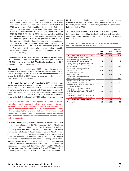\_ Investments in property, plant and equipment also increased, amounting to EUR 13 million in the second quarter of 2019 (previous year: EUR 11 million) and EUR 22 million in the first half of 2019 (previous year: EUR 19 million). Here, too, the Entertainment segment accounted for the majority of these investments at 71% in the second quarter of 2019 and 68% in the first half of 2019 (Q2 2018: 84%; H1 2018 85%). Besides technical facilities and leasehold improvements, they related to the new campus at the Unterföhring site. EUR 46 million (previous year: EUR 23 million) was invested in other intangible assets in the second quarter of 2019 and EUR 79 million (previous year: EUR 48 million) in the first half of 2019. At 73% in both the second quarter and the first half of 2019, the Group's investments in other intangible assets mainly related to the Entertainment segment (Q2 2018: 82%; H1 2018: 74%).

The developments described resulted in **free cash flow** of minus EUR 25 million for the second quarter of 2019 (previous year: EUR – 199 million) and minus EUR 79 million for the first half of 2019 (previous year: EUR -143 million).  $\rightarrow$  Fig. 27  $\rightarrow$  [Fig. 28](#page-17-1)

**M&A cash flow** amounted to minus EUR 101 million in the second quarter of 2019, after minus EUR 196 million in the previous year (H1 2019: EUR –94 million; H1 2018: EUR – 226 million). In both the second quarter and the first half of 2019, there were lower cash outflows for additions to the scope of consolidation.

The **free cash flow before M&A** amounted to EUR 76 million in the second quarter of 2019 (previous year: EUR – 3 million). This equates to an increase of EUR 80 million, which is based both on the change in working capital and on a tax refund. These factors were partly offset by a higher cash outflow for the acquisition of programming rights. In the first half of the year, free cash flow before M&A activities amounted to EUR 15 million, after EUR 83 million in the previous year.

**Free cash flow: Total cash and cash equivalents generated in operating business less the balance of cash used and generated in the context of investing activities. Free cash flow before M&A: Free cash flow adjusted for cash used and generated by M&A transactions (excl. transaction costs) related to majority acquisitions that are carried out and planned, the purchase and sale of investments accounted for using the equity method and other investments with the exception of media-forequity investments.**

**Cash flow from financing activities** amounted to minus EUR 277 million in the second quarter of 2019 (previous year: EUR – 382 million). The dividend totaling EUR 269 million (previous year: EUR 442 million) was paid in June. In the previous year, there was a cash inflow from the sale of shares in NuCom Group to General Atlantic in the amount of EUR 286 million in the second quarter. The previous year's figure also included a cash outflow of EUR 200 million for the purchase price payment for additional shares in Parship Group, which was already controlled, and for the acquisition of additional shares in SilverTours. In the first half of the year, cash flow from financing activities amounted to minus EUR 269 million, after minus EUR 414 million in the previous year. The cash inflow in the first half of 2019 was attributable to proceeds from non-controlling interests in the amount of EUR 7 million. In addition to the changes mentioned above, the purchase price for additional shares in Sonoma Internet GmbH ("Sonoma Internet"), which was already controlled, resulted in a cash outflow in the first half of 2018.

The Group has a comfortable level of liquidity, although the cash flows described resulted in a decline in cash and cash equivalents of EUR 346 million compared to December 31, 2018, to EUR 685 mil- $\mathsf{linn} \rightarrow \mathsf{Fig. 29}$  $\mathsf{linn} \rightarrow \mathsf{Fig. 29}$  $\mathsf{linn} \rightarrow \mathsf{Fig. 29}$ 

### 27 / RECONCILIATION OF FREE CASH FLOW BEFORE M&A MEASURES IN Q2 2019 in EUR m

| Total<br>cash flow | <b>M&amp;A</b><br>cash flow | <b>Cash flow</b><br>before<br><b>M&amp;A</b> |
|--------------------|-----------------------------|----------------------------------------------|
| 404                | $-/-$                       | 404                                          |
| $\overline{c}$     | $\overline{c}$              | 0                                            |
| $-59$              | $-/-$                       | $-59$                                        |
| $-19$              | $-19$                       | 0                                            |
| 6                  | $-/-$                       | 6                                            |
| $-275$             | $-/-$                       | $-275$                                       |
| $-1$               | $-1$                        | - / -                                        |
| 0                  | $\Omega$                    |                                              |
| $-85$              | $-85$                       | - / -                                        |
| 2                  | $\overline{c}$              | - / -                                        |
| -429               | $-101$                      | $-328$                                       |
| $-25$              | $-101$                      | 76                                           |
|                    |                             |                                              |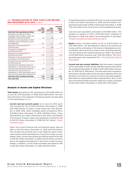### <span id="page-17-1"></span>28 / RECONCILIATION OF FREE CASH FLOW BEFORE M&A MEASURES IN H1 2019 in EUR m

|                                                                                                                        | Total<br>cash flow | M& A<br>cash flow | <b>Cash flow</b><br>before<br><b>M&amp;A</b> |
|------------------------------------------------------------------------------------------------------------------------|--------------------|-------------------|----------------------------------------------|
| <b>Cash flow from operating activities</b>                                                                             | 687                | -/-               | 687                                          |
| Proceeds from disposal of other<br>intangible assets, property, plant and<br>equipment, and financial assets           | 34                 | 32                | 2                                            |
| Payments for the acquisition of other<br>intangible assets and property, plant<br>and equipment                        | $-101$             | $-/-$             | $-101$                                       |
| Payments for the acquisition of<br>financial assets                                                                    | $-35$              | $-33$             | $-2$                                         |
| Proceeds from disposal of<br>programming assets                                                                        | $\overline{7}$     | $-/-$             | 7                                            |
| Payments for the acquisition of<br>programming assets                                                                  | $-578$             | -/-               | $-578$                                       |
| Payments for the issuance of loan<br>receivables to external parties                                                   | $-2$               | $-2$              | $-/-$                                        |
| Proceeds from the repayment of loans<br>to external parties                                                            | 0                  | $\mathbf 0$       | $-/-$                                        |
| Cash flow from obtaining control of<br>subsidiaries or other businesses (net of<br>cash and cash equivalents acquired) | $-94$              | $-94$             | - / -                                        |
| Cash flow from losing control of<br>subsidiaries or other businesses (net of<br>cash and cash equivalents disposed of) | 2                  | $\overline{c}$    |                                              |
| <b>Cash flow from investing activities</b>                                                                             | $-766$             | -94               | -672                                         |
| <b>Free cash flow</b>                                                                                                  | -79                | $-94$             | 15                                           |

# <span id="page-17-0"></span>Analysis of Assets and Capital Structure

**Total assets** decreased by 3%, amounting to EUR 6,286 million as of June 30, 2019 (December 31, 2018: EUR 6,468 million). The most important items in the statement of financial position are described in more detail below. $\rightarrow$  [Fig. 30](#page-18-0)

\_ **Current and non-current assets:** As of June 30, 2019, goodwill increased by 7% to EUR 2,101 million (December 31, 2018: EUR 1,962 million); its share in total assets was 33% (December 31, 2018: 30%). Other intangible assets increased by 4% to EUR 854 million (December 31, 2018: EUR 824 million). These developments are mainly influenced by the initial consolidation of be Around. Property, plant, and equipment increased by 3% to EUR 337 million (December 31, 2018: EUR 327 million).  $\rightarrow$  [Signif](#page-4-1)[icant Events, page 5](#page-4-1)

Other non-current financial and non-financial assets grew by 25% to EUR 310 million (December 31, 2018: EUR 249 million). This increase was primarily due to new media-for-equity investments and the positive development of long-term foreign currency hedges. Other current financial and non-financial assets fell by 14% to EUR 105 million (December 31, 2018: EUR 122 million), primarily due to the negative development of short-term foreign currency hedges. In addition, current trade receivables decreased by 14% to EUR 452 million (December 31, 2018: EUR 529 million).

Programming assets increased by 9% year-on-year and amounted to EUR 1,212 million (December 31, 2018: EUR 1,113 million). Programming assets made up 19% of total assets (December 31, 2018: 17%) and comprise non-current and current programming assets.

Cash and cash equivalents amounted to EUR 685 million. This equates to a decline of 34% or EUR 346 million compared to December 31, 2018, and reflects the development of cash flows.  $\rightarrow$  [Analysis of Liquidity and Capital Expenditure, page 16](#page-15-0)

- \_ **Equity:** Equity increased slightly by 1% or EUR 10 million to EUR 1,080 million. This development is based on the positive net income and the contribution of the shares in Marketplace by General Atlantic, which led to the increase in non-controlling interests. This was offset by the dividend payment for 2018 in the amount of EUR 269 million (previous year: EUR 442 million). The corresponding equity ratio remained at 17%.  $\rightarrow$  [The ProSiebenSat.1](#page-19-1) Media SE [Share, page 20](#page-19-1)
- \_ **Current and non-current liabilities:** Debt decreased compared to the closing date in 2018; overall, liabilities and provisions fell by 4% compared to December 31, 2018, to EUR 5,206 million (December 31, 2018: EUR 5,398 million). This was mainly due to payments and positive valuation effects from put-option liabilities and to the decrease in provisions for onerous contracts and trade payables. New media-for-equity liabilities had an opposite effect. Non-current and current financial debt reported in debt was virtually unchanged at EUR 3,200 million (December 31, 2018: EUR 3,194 million).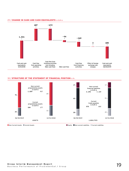### <span id="page-18-0"></span>29 / CHANGE IN CASH AND CASH EQUIVALENTS in EUR m



## 30 / STRUCTURE OF THE STATEMENT OF FINANCIAL POSITION in %



Non-Current Assets Current Assets Current Assets Current Assets Equity Non-current Liabilities Current Liabilities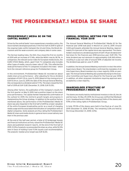# <span id="page-19-1"></span><span id="page-19-0"></span>THE PROSIEBENSAT.1 MEDIA SE SHARE

# PROSIEBENSAT.1 MEDIA SE ON THE CAPITAL MARKET

Driven by the central banks' more expansionary monetary policy, the stock markets developed positively in the first half of 2019 in spite of the ongoing trade conflict between the US and China, the Brexit discussions and the weak economic and company data in some cases.

The German leading index, the DAX, thus closed the first six months of 2019 with an increase of 17.4%, while the MDAX rose by 18.7%. In comparison, the relevant sector index for European media stocks, the EURO STOXX Media, which, apart from TV companies also includes other types of media, rose at a lower rate of 7.3%. This reflected the weak performance of the TV companies included in the index – which form the relevant reference group for ProSiebenSat.1 Group.

In this environment, ProSiebenSat.1 Media SE recorded an about stable share price performance – after adjusting for the ex-dividend markdown of EUR 1.19 on June 13, 2019. Based on the closing price of EUR 15.54 on June 12, 2019, the date of the Annual General Meeting, this corresponds to a dividend yield of 7.7%. The share closed the first half of 2019 at EUR 13.82 (December 31, 2018: EUR 15.55).

Among other factors, the publication of the Company's results for the first quarter on May 9, 2019, had a positive impact on the share price performance. The capital market rewarded the confirmation of the outlook for 2019, the mid-term growth targets and progress in implementing the Group strategy. In addition to the positive factors mentioned above, the performance of the ProSiebenSat.1 Media SE share was also impacted in the first half of 2019 by a lower valuation of the entire European broadcasting sector as a result of changing media usage and the associated intensification of competition with US digital companies. Some analysts are thus rating the ProSiebenSat.1 Media SE share and media stocks in general more conservatively now than in the previous year.

At the end of the half-year period, a total of 23 brokerage houses and financial institutions actively valued the ProSiebenSat.1 Media SE share and published research reports. At the end of the first half of 2019, 31.0% of analysts recommended the share as a buy, while 52.0% were in favor of holding it and 17.0% issued a sell recommendation. The analysts' median price target was EUR 16.00.

# ANNUAL GENERAL MEETING FOR THE FINANCIAL YEAR 2018

The Annual General Meeting of ProSiebenSat.1 Media SE for the financial year 2018 took place in Munich on June 12, 2019. Around 1,000 participants attended the Annual General Meeting. Approximately 51.4 percent of the capital stock was represented. The shareholders resolved on a dividend payment of EUR 1.19 per dividend entitled share for the financial year 2018 (previous year: EUR 1.93). The total dividend pay-out amounts to approximately EUR 269 million, resulting in a pay-out ratio of around 50% of adjusted net income. The dividend was paid on June 17, 2019.

In addition, the Annual General Meeting resolved to re-elect the entire Supervisory Board. The shareholders confirmed the mandates of all nine Supervisory Board members by a clear majority (93% on average). The Annual General Meeting also granted discharge to the Executive Committee and Supervisory Board for the financial year 2018. In addition, all other proposed resolutions requiring approval were accepted by a clear majority.

# SHAREHOLDER STRUCTURE OF PROSIEBENSAT.1 MEDIA SE

The shares are mostly held by institutional investors in the US, the UK and Germany. On May 29, 2019, the Group was notified that Mediaset S.p.A. headquartered in Milan, had acquired 9.6% of the shares and 9.9% of the voting rights in ProSiebenSat.1 Group.

In total, 97.0% of the shares were held in free float as of June 30, 2019 (December 31, 2018: 97.0%). The remaining 3.0% are held by the Group (December 31, 2018: 3.0%).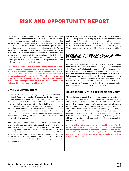# <span id="page-20-1"></span><span id="page-20-0"></span>RISK AND OPPORTUNITY REPORT

ProSiebenSat.1 Group's opportunity situation has not changed fundamentally compared to the end of 2018. In addition, we estimate that there are currently no risks that, individually or in combination with other risks, could have a material or lasting adverse effect on the financial position and performance. The identified risks pose no threat to the Company as a going concern, even looking into the future. Nevertheless, the Group's overall risk situation increased compared to the end of 2018, due to macroeconomic developments and risks related to in-house and comissioned productions in the first quarter of 2019 as well as due to sales risks in the Commerce segment in the second quarter of 2019. Risks that increased compared to the end of 2018, are described in more detail below.

**ProSiebenSat.1 Media SE has implemented a comprehensive risk management system to systematically identify, assess, manage and monitor risks. Risks reported as part of this system are summarized into categories and clusters. All relevant individual risks are examined in detail and managed as part of regular reporting. We monitor all relevant risks as part of the risk management process; in this risk report, however, we focus only on changes in those risks which have been classified as medium or high in their overall significance.**

# MACROECONOMIC RISKS

At the start of 2019, the weakening of the global economic output continued. According to the latest forecast by the European Commission, global Gross Domestic Product (GDP) growth will fall from real 3.6% in 2018 to 3.2% in 2019 in real terms. The German economy started off with a good first quarter (+0.4% q-o-q). However, this performance was exaggerated by extraordinary effects such as the favorable development of the construction industry, consumer-friendly fiscal measures and a backlog of automobile purchases, meaning that opposite effects can be expected in the second quarter. Overall, however, the slight growth trend is likely to have continued in the first half of the year.

Due to the robust domestic economy and solid private consumer spending, a lasting recession is not expected in Germany at present. Nonetheless, the strains on the export-oriented German economy are increasing, and therefore so is the risk that the unfavorable external conditions could spread to the domestic economy in the mid-term. While the Joint Economic Forecast issued in spring 2019 anticipated real growth of 0.8% after previously forecasting 1.9% in fall 2018, the Institute for Economic Research (ifo) is expecting an increase of 0.6% in mid-year.

We, too, consider the economic risks to be higher than at the end of 2018. As companies' advertising expenditure and other investment decisions are influenced by the general economic situation and sentiment, we see this external risk as a high risk (previously: medium) with a very high impact on earnings performance (previously: high). We continue to classify the probability of occurrence as possible.

# SUCCESS OF IN-HOUSE AND COMMISSIONED PRODUCTIONS AND LOCAL CONTENT **STRATEGY**

Programs that viewers can connect with at a local level are increasingly becoming a competitive advantage over global streaming services. Therefore, ProSiebenSat.1 Group has further developed its content strategy and is focusing more heavily on broadcasting live and local formats in addition to opportunities for digital exploitation. Due to the associated increase in the proportion of in-house and commissioned productions in programming as a whole, the effect of the risk has now risen from low to moderate. The probability of occurrence remains possible. The resulting risk has therefore increased, and we now categorize its significance as medium overall.

# SALES RISKS IN THE COMMERCE SEGMENT

The portfolio companies in the Commerce segment are structured in four core areas. Developments in the market structure and intensified activities on the part of competitors are increasingly affecting sales in the Commerce segment. To counter these developments, ProSiebenSat.1 Group is constantly working to improve its products and services and is therefore systematically pressing ahead with the digitalization and growth strategy of its portfolio, including by way of necessary investments. We now consider the occurrence of this risk to be possible. Due to its high impact, we categorize the significance of the risk as medium overall (previously: impact: medium; possibility of occurrence: unlikely).

**The risks identified as medium or high and significant opportunities are described in the Annual Report 2018 from page 123. The organizational requirements for risk and opportunity management are also explained here. The Annual Report was published on March 21, 2019,**  and is available at → [https://www.prosiebensat1.com/en/investor-relations/](https://www.prosiebensat1.com/en/investor-relations/publications/annual-reports) [publications/annual-reports](https://www.prosiebensat1.com/en/investor-relations/publications/annual-reports) **.**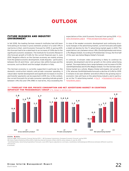# **OUTLOOK**

# <span id="page-21-1"></span><span id="page-21-0"></span>FUTURE BUSINESS AND INDUSTRY ENVIRONMENT

In fall 2018, the leading German research institutes had still been forecasting an increase in gross domestic product of a solid 1.9% in real terms in their Joint Economic Forecast for 2019. In spring 2019, this forecast had to be scaled back to an increase of 0.8% due to the significant economic slowdown. The Institute for Economic Research (ifo) forecast growth of 0.6% for the current financial year in June 2019. Negative effects on the German economy are mainly arising from the global economic development, trade disputes – particularly between the US and China – and various risks within Europe and the eurozone, such as Brexit and the budget situation in Italy.

The German economy is currently supported in particular by the domestic construction industry and private consumer spending. A robust labor market development and significant increases in income and transfer payments can be expected in 2019, too. In this context, the current forecasts for private consumer spending indicate growth between 1.4% (ifo) and 1.9% (RWI) in real terms, thus exceeding the expectations of the Joint Economic Forecast from spring 2019.  $\rightarrow$  [Eco](#page-5-1)nomic Development, page  $6 \rightarrow$  [Risk and Opportunity Report, page 21](#page-20-1)

In view of the weaker economic development and continuing structural changes in the advertising market, current forecasts anticipate a slight net decline for the TV advertising market again in 2019. The expectations vary between minus 1.8% (ZenithOptimedia) and minus 2.1% (Magna Global). According to ProSiebenSat.1 Group, the first half of the year was below Magna Global's forecast.

In contrast, in-stream video advertising is likely to continue its dynamic development and drive growth on the online advertising market. The expectations here range between a net increase of 6.9% (ZenithOptimedia) and 10.0% (Magna Global). For the German advertising market as a whole, Magna Global anticipates net growth of 2.1%, whereas ZenithOptimedia forecasts a decline of 0.4% for 2019. It remains to be seen whether and which effects the growing macroeconomic risks will have on the advertising industry and in particular on the TV advertising market.  $\rightarrow$  Fig. 31  $\rightarrow$  [Development of the Adver](#page-5-2)[tising Market, page 6](#page-5-2)



### 31 / FORECAST FOR GDP, PRIVATE CONSUMPTION AND NET ADVERTISING MARKET IN COUNTRIES IMPORTANT FOR PROSIEBENSAT.1 GROUP in %, change vs. previous year

#### 2019e 2020e

Sources: **GER:** Joint Economic Forecast Spring 2019. / **AT:** European Commission, European Economic Forecast, spring 2019.

**CH:** Swiss Federal Statistical Office (BFS), State Secretariat Economic Affairs (SECO), press release of June 16, 2019. 1

 ZenithOptimedia, Advertising Expenditure Forecasts June 2019, figures adjusted on a net basis, nonetheless methodological differences between different countries and sources.

**e:** estimate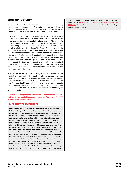# COMPANY OUTLOOK

Despite the TV advertising market performing weaker than expected, the business performance in the first half of the year was in line with the 2019 full-year targets for revenues and earnings that were presented by the Group at the Annual Press Conference in March.

As also announced at the Annual Press Conference, ProSiebenSat.1 Group has decided to invest consistently in the future of its Entertainment business, especially in local content. The emphasis on local content is already starting to pay off as the Group posts an increasing Total Video Viewtime with audience market shares as well as digital view time rising. The focus of these investments recognized as expense is in the second and third quarters. The Group has already considered their earning impact on the full-year in its fullyear outlook. ProSiebenSat.1 Group is also continuously expanding the business of NuCom Group. In this context, the Group has decided to further accelerate and strengthen the competitive position in the online beauty business through additional investments recognized as expense in the portfolio company Flaconi. Besides, the Group continues to work on cost improvements in its core business also in the second half of the year.

In the TV advertising market, visibility is expected to remain low also in the second half of the year. Regardless of the stated growth investments and subject to the development of the macroeconomic environment and the TV advertising market in the second half of the year, ProSiebenSat.1 Group continues to aim for a revenue increase in the mid-single-digit percentage range and an adjusted EBITDA margin between 22% and 25% for full-year 2019 and is thus confirming its full-year targets.

**The Company has published detailed explanatory notes on the forecast and the anticipated Group and segment key figures on** [pages 137](https://www.prosiebensat1.com/en/investor-relations/publications/annual-reports) [and 138 of the Annual Report 2018](https://www.prosiebensat1.com/en/investor-relations/publications/annual-reports)**.**

### 32 / PREDICTIVE STATEMENTS

Forecasts are based on current assessments of future developments. In this context, we draw on our budget planning and comprehensive market and competitive analyses. The forecasted values are calculated in accordance with the reporting principles used in the financial statements and are consistent with the adjustments described in the Management Report. However, forecasts naturally entail some uncertainties that could lead to positive or negative deviations from planning. If imponderables occur or if the assumptions on which the predictive statements are made no longer apply, actual results may deviate materially from the statements made or the results implicitly expressed. Developments that could negatively impact this forecast include, for example, lower economic momentum than expected at the time this report was prepared. These and other factors are explained in detail in the Risk and Opportunity Report. There we also report on additional growth potential; opportunities that we have not yet or not fully budgeted for could arise from corporate strategy decisions, for example. Potential risks are accounted for regularly and systematically as part of the Group-wide risk management

process. Significant events after the end of the reporting period are explained in the  $\rightarrow$  Notes, Note 10, "Events after the interim reporting period" [on page](#page-42-0) [43](#page-42-0) . The publication date of the Half-Yearly Financial Report 2019 is August 7, 2019.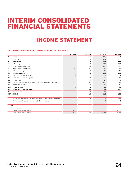# <span id="page-23-0"></span>INTERIM CONSOLIDATED FINANCIAL STATEMENTS

# INCOME STATEMENT

# 33 / INCOME STATEMENT OF PROSIEBENSAT.1 GROUP in EUR m

|        |                                                                    | Q2 2019  | 02 2018 | H1 2019      | H1 2018        |
|--------|--------------------------------------------------------------------|----------|---------|--------------|----------------|
| 1.     | Revenues                                                           | 947      | 912     | 1,860        | 1,794          |
| 2.     | Cost of sales                                                      | $-535$   | $-478$  | $-1.057$     | $-968$         |
| 3.     | <b>Gross profit</b>                                                | 413      | 434     | 803          | 826            |
| 4.     | Selling expenses                                                   | $-151$   | $-115$  | $-292$       | $-234$         |
| 5.     | Administrative expenses                                            | $-125$   | $-146$  | $-252$       | $-342$         |
| 6.     | Other operating expenses                                           | $-2$     | $-3$    | $-4$         | $-6$           |
| 7.     | Other operating income                                             | 9        | 8       | 18           | 16             |
| 8.     | <b>Operating result</b>                                            | 144      | 178     | 273          | 260            |
| 9.     | Interest and similar income                                        | $\Omega$ | 3       | $\mathbf{1}$ | 3              |
| 10.    | Interest and similar expenses                                      | $-15$    | $-20$   | $-25$        | $-43$          |
| 11.    | Interest result                                                    | $-14$    | $-17$   | $-24$        | $-40$          |
| 12.    | Result from investments accounted for using the equity method      | $-12$    | $-2$    | $-20$        | $-5$           |
| 13.    | Other financial result                                             | 13       | 25      | 80           | 15             |
| 14.    | <b>Financial result</b>                                            | $-13$    | 6       | 36           | $-30$          |
| 15.    | <b>Result before income taxes</b>                                  | 131      | 184     | 309          | 230            |
| 16.    | Income taxes                                                       | $-37$    | $-59$   | $-94$        | $-75$          |
|        | <b>NET INCOME</b>                                                  | 94       | 125     | 215          | 155            |
|        |                                                                    |          |         |              |                |
|        | Net income attributable to shareholders of ProSiebenSat.1 Media SE | 93       | 126     | 215          | 153            |
|        | Net income attributable to non-controlling interests               |          | $-1$    | $-1$         | $\overline{2}$ |
| in EUR |                                                                    |          |         |              |                |
|        | Earnings per share                                                 |          |         |              |                |
|        | Basic earnings per share                                           | 0.41     | 0.55    | 0.95         | 0.67           |
|        | Diluted earnings per share                                         | 0.41     | 0.54    | 0.94         | 0.67           |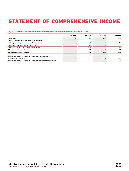# <span id="page-24-0"></span>STATEMENT OF COMPREHENSIVE INCOME

# 34 / STATEMENT OF COMPREHENSIVE INCOME OF PROSIEBENSAT.1 GROUP in EUR m

|                                                                                       | Q2 2019 | 02 2018 | H1 2019                  | H1 2018 |
|---------------------------------------------------------------------------------------|---------|---------|--------------------------|---------|
| Net income                                                                            | 94      | 125     | 215                      | 155     |
| Items subsequently reclassified to profit or loss                                     |         |         |                          |         |
| Change in foreign currency translation adjustment                                     | $-5$    | 23      |                          | 11      |
| Changes in fair value of cash flow hedges                                             | $-12$   | 87      | $\overline{\phantom{0}}$ | 31      |
| Deferred tax on other comprehensive income                                            |         | $-24$   |                          | $-9$    |
| Other comprehensive income                                                            | $-14$   | 85      |                          | 34      |
| Total comprehensive income                                                            | 80      | 210     | 218                      | 189     |
|                                                                                       |         |         |                          |         |
| Total comprehensive income attributable to Shareholders of<br>ProSiebenSat.1 Media SE | 79      | 211     | 219                      | 187     |
| Total comprehensive income attributable to non-controlling interests                  |         | $-1$    | 0                        |         |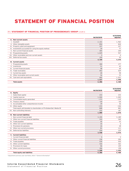# <span id="page-25-0"></span>STATEMENT OF FINANCIAL POSITION

# 35 / STATEMENT OF FINANCIAL POSITION OF PROSIEBENSAT.1 GROUP in EUR m

|                 |                                                       | 06/30/2019 | 12/31/2018<br>adjusted <sup>1</sup> |
|-----------------|-------------------------------------------------------|------------|-------------------------------------|
|                 | A. Non-current assets                                 |            |                                     |
|                 | I. Goodwill                                           | 2,101      | 1,962                               |
| $\mathbf{II}$ . | Other intangible assets                               | 854        | 824                                 |
| III.            | Property, plant and equipment                         | 337        | 327                                 |
|                 | IV. Investments accounted for using the equity method | 39         | 77                                  |
|                 | V. Non-current financial assets                       | 305        | 244                                 |
|                 | VI. Programming assets                                | 1,029      | 937                                 |
| VII.            | Other receivables and non-current assets              | 5          | 4                                   |
| VIII.           | Deferred tax assets                                   | 100        | 95                                  |
|                 |                                                       | 4,769      | 4,470                               |
|                 | <b>B.</b> Current assets                              |            |                                     |
|                 | I. Programming assets                                 | 184        | 177                                 |
|                 | II. Inventories                                       | 51         | 42                                  |
| Ш.              | Current financial assets                              | 48         | 69                                  |
|                 | IV. Trade receivables                                 | 452        | 529                                 |
|                 | V. Current tax assets                                 | 40         | 98                                  |
| VI.             | Other receivables and current assets                  | 56         | 53                                  |
|                 | VII. Cash and cash equivalents                        | 685        | 1,031                               |
|                 |                                                       | 1,517      | 1,998                               |
|                 | <b>Total assets</b>                                   | 6,286      | 6,468                               |

|      |                                                                      | 06/30/2019 | 12/31/2018<br>adjusted <sup>1</sup> |
|------|----------------------------------------------------------------------|------------|-------------------------------------|
|      | A. Equity                                                            |            |                                     |
|      | I. Subscribed capital                                                | 233        | 233                                 |
|      | II. Capital reserves                                                 | 1.044      | 1,043                               |
|      | III. Consolidated equity generated                                   | $-173$     | $-119$                              |
|      | IV. Treasury shares                                                  | $-64$      | $-64$                               |
|      | V. Accumulated other comprehensive income                            | 39         | 36                                  |
|      | VI. Other equity                                                     | $-233$     | $-246$                              |
|      | Total equity attributable to shareholders of ProSiebenSat.1 Media SE | 848        | 883                                 |
|      | VII. Non-controlling interests                                       | 232        | 187                                 |
|      |                                                                      | 1,080      | 1,070                               |
|      | <b>B.</b> Non-current liabilities                                    |            |                                     |
|      | I. Non-current financial debt                                        | 3,195      | 3,189                               |
|      | II. Other non-current financial liabilities                          | 310        | 349                                 |
| III. | Trade payables                                                       | 45         | 53                                  |
|      | IV. Other non-current liabilities                                    | 26         | 6                                   |
|      | V. Provisions for pensions                                           | 26         | 28                                  |
|      | VI. Other non-current provisions                                     | 81         | 111                                 |
|      | VII. Deferred tax liabilities                                        | 254        | 239                                 |
|      |                                                                      | 3,938      | 3,974                               |
|      | C. Current liabilities                                               |            |                                     |
|      | I. Current financial debt                                            | 5          | 5                                   |
|      | II. Other current financial liabilities                              | 136        | 200                                 |
| III. | Trade payables                                                       | 530        | 550                                 |
|      | IV. Other current liabilities                                        | 326        | 362                                 |
|      | V. Provisions for taxes                                              | 86         | 109                                 |
|      | VI. Other current provisions                                         | 186        | 198                                 |
|      |                                                                      | 1,268      | 1,424                               |
|      | <b>Total equity and liabilities</b>                                  | 6.286      | 6,468                               |

1 Adjustment previous year see Notes, Note 1 "General information"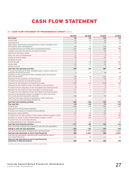# CASH FLOW STATEMENT

# <span id="page-26-0"></span>36 / CASH FLOW STATEMENT OF PROSIEBENSAT.1 GROUP in EUR m

|                                                                                                                     | <b>Q2 2019</b> | <b>Q2 2018</b>     | H1 2019        | H1 2018            |
|---------------------------------------------------------------------------------------------------------------------|----------------|--------------------|----------------|--------------------|
| Net income                                                                                                          | 94             | 125                | 215            | 155                |
| Income taxes                                                                                                        | 37             | 59                 | 94             | 75                 |
| Financial result                                                                                                    | 13             | $-6$               | $-36$          | 30                 |
| Depreciation, amortization and impairments of other intangible assets                                               |                |                    |                |                    |
| and property, plant and equipment                                                                                   | 59             | 52                 | 110            | 103                |
| Consumption/reversal of impairment of programming assets                                                            | 217            | 206                | 449            | 446                |
| Change in provisions for pensions and other provisions                                                              | $-17$          | $-31$              | $-20$          | 33                 |
| Gain/loss on the sale of assets                                                                                     | $-1$           | $-1$               | $-1$           | $-3$               |
| Other non-cash income/expenses                                                                                      | $-2$           | $\mathbf 0$        | $-3$           | $\mathbf{1}$       |
| Change in working capital                                                                                           | 30             | $-53$              | $-47$          | $-97$              |
| Dividends received                                                                                                  | $\mathbf{1}$   | $\mathbf 0$        | $\overline{7}$ | 6                  |
| Income tax paid                                                                                                     | $-4$           | $-60$              | $-52$          | $-107$             |
| Interest paid                                                                                                       | $-23$          | $-27$              | $-30$          | $-38$              |
| Interest received                                                                                                   | $\mathbf{0}$   | $\mathbf{1}$       | $\overline{c}$ | $\overline{c}$     |
| Cash flow from operating activities                                                                                 | 404            | 266                | 687            | 607                |
| Proceeds from disposal of other intangible assets, property, plant and<br>equipment and financial assets            | $\overline{c}$ | 17                 | 34             | 28                 |
| Payments for the acquisition of other intangible assets and property,                                               |                |                    |                |                    |
| plant and equipment                                                                                                 | $-59$          | $-34$              | $-101$         | $-68$              |
| Payments for the acquisition of financial assets                                                                    | $-19$          | $-9$               | $-35$          | $-27$              |
| Proceeds from disposal of programming assets                                                                        | 6              | 3                  | $\overline{7}$ | 8                  |
| Payments for the acquisition of programming assets                                                                  | $-275$         | $-236$             | $-578$         | $-463$             |
| Payments for the issuance of loan receivables to external parties                                                   | $-1$           | $-/-$              | $-2$           | $-/-$              |
| Proceeds from the repayment of loan receivables from external parties                                               | $\mathbf{0}$   | $-/-$              | $\mathbf{0}$   | $-/-$              |
| Payments for the issuance of loan receivables to financial assets                                                   | $-/-$          | $-3$               | $-/-$          | $-3$               |
| Proceeds from the repayment of loan receivables from financial assets                                               | $-/-$          | $\mathbf{1}$       | $-/-$          | $\mathbf{1}$       |
| Cash flow from obtaining control of subsidiaries or other businesses                                                |                |                    |                |                    |
| (net of cash and cash equivalents acquired)                                                                         | $-85$          | $-205$             | $-94$          | $-230$             |
| Cash flow from losing control of subsidiaries or other businesses<br>(net of cash and cash equivalents disposed of) | $\overline{c}$ | $-/-$              | $\overline{c}$ | 2                  |
| Cash flow from investing activities                                                                                 | $-429$         | $-466$             | $-766$         | $-751$             |
| Free cash flow                                                                                                      | $-25$          | $-199$             | $-79$          | $-143$             |
| Dividend paid                                                                                                       | $-269$         | $-442$             | $-269$         | $-442$             |
| Repayment of interest-bearing liabilities                                                                           | $-2$           | $\mathbf 0$        | $-5$           | $-1$               |
| Proceeds from issuance of interest-bearing liabilities                                                              | 6              | 5                  | 21             | 6                  |
| Repayment of lease liabilities                                                                                      | $-11$          | $-10$              | $-20$          | $-20$              |
| Proceeds from the sale of shares in other entities without change in control                                        | $-/-$          | 286                | $-/-$          | 286                |
| Payments for shares in other entities without change in control                                                     | $-1$           | $-200$             | $-1$           | $-221$             |
| Proceeds from non-controlling interests                                                                             | $-/-$          | $\mathbf{1}$       | $\overline{7}$ | $\mathbf{1}$       |
| Dividend payments to non-controlling interests                                                                      | $-1$           | $-23$              | $-2$           | $-23$              |
| Cash flow from financing activities                                                                                 | $-277$         | $-382$             | $-269$         | $-414$             |
| Effect of foreign exchange rate changes on cash and cash equivalents                                                | $-2$           | 20                 | $\overline{3}$ | 12                 |
| Change in cash and cash equivalents                                                                                 | $-304$         | $-562$             | $-346$         | - 545              |
| Cash and cash equivalents at beginning of reporting period                                                          | 989            | 1,5761             | 1,031          | 1,5591             |
| Cash and cash equivalents at end of reporting period                                                                | 685            | 1,014 <sup>1</sup> | 685            | 1,014 <sup>1</sup> |
| Cash and cash equivalents classified under assets held for sale at<br>end of reporting period                       | $-/-$          | 24                 | -/-            | 24                 |
| Cash and cash equivalents at end of reporting period<br>(statement of financial position)                           | 685            | 990                | 685            | 990                |

1 Includes cash and cash equivalents from held for sale entities.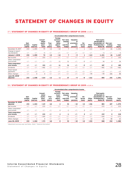# <span id="page-27-0"></span>STATEMENT OF CHANGES IN EQUITY

# 37 / STATEMENT OF CHANGES IN EQUITY OF PROSIEBENSAT.1 GROUP H1 2018 in EUR m

|                                        |                            |                     |                                               |                         |                                                            |                                                           | Accumulated other comprehensive income           |                        |                 |                                                                                                       |                                   |                 |
|----------------------------------------|----------------------------|---------------------|-----------------------------------------------|-------------------------|------------------------------------------------------------|-----------------------------------------------------------|--------------------------------------------------|------------------------|-----------------|-------------------------------------------------------------------------------------------------------|-----------------------------------|-----------------|
|                                        | Sub-<br>scribed<br>capital | Capital<br>reserves | Consoli-<br>dated<br>equity<br>gene-<br>rated | Trea-<br>surv<br>shares | Foreign<br>currency<br>trans-<br>lation<br>adjust-<br>ment | <b>Fair value</b><br>changes<br>of<br>cash flow<br>hedges | Valuation<br>of<br>provisions<br>for<br>pensions | De-<br>ferred<br>taxes | Other<br>equity | <b>Total equity</b><br>attributable to<br>shareholders of<br><b>ProSiebenSat.1</b><br><b>Media SE</b> | Non-con-<br>trolling<br>interests | Total<br>equity |
| December 31, 2017                      | 233                        | 1,055               | 79                                            | $-13$                   | $-14$                                                      | 7                                                         | $-9$                                             | $\mathbf{1}$           | $-113$          | 1,225                                                                                                 | 26                                | 1,252           |
| Change in report-<br>ing standards     | $-/-$                      | $-/-$               | $-5$                                          | $-/-$                   | $-/-$                                                      | $-/-$                                                     | $-/-$                                            | $-/-$                  | $-/-$           | $-5$                                                                                                  | $-/-$                             | $-5$            |
| <b>January 1, 2018</b>                 | 233                        | 1,055               | 74                                            | $-13$                   | $-14$                                                      | $\overline{\phantom{a}}$                                  | - 9                                              | 1                      | $-113$          | 1,221                                                                                                 | 26                                | 1,247           |
| Net income                             | $-/-$                      | $-/-$               | 153                                           | $-/-$                   | $-/-$                                                      | $-/-$                                                     | $-/-$                                            | $-/-$                  | $-/-$           | 153                                                                                                   | $\overline{c}$                    | 155             |
| Other comprehen-<br>sive income        | $-/-$                      | $-/-$               | $-/-$                                         | $-/-$                   | 11                                                         | 31                                                        | $-/-$                                            | $-9$                   | $-/-$           | 34                                                                                                    | $\mathbf 0$                       | 34              |
| Total comprehen-<br>sive income        | -/-                        | -/-                 | 153                                           | -/-                     | 11                                                         | 31                                                        | $-/-$                                            | - 9                    | $-/-$           | 187                                                                                                   | $\mathbf{2}$                      | 189             |
| Dividends                              | $-/-$                      | $-/-$               | $-442$                                        | $-/-$                   | $-/-$                                                      | $-/-$                                                     | $-/-$                                            | $-/-$                  | $-/-$           | $-442$                                                                                                | $-23$                             | $-465$          |
| Share-based<br>payments                | $-/-$                      | $-17$               | $-/-$                                         | $-/-$                   | $-/-$                                                      | $-/-$                                                     | $-/-$                                            | $-/-$                  | $-/-$           | $-17$                                                                                                 | $-/-$                             | $-17$           |
| Other changes                          | $-/-$                      | $\mathbf 0$         | $\mathbf 0$                                   | $-/-$                   | $-/-$                                                      | $-/-$                                                     | $-/-$                                            | $-/-$                  | $-99$           | $-99$                                                                                                 | 186                               | 88              |
| June 30, 2018 <sup>1</sup><br>adjusted | 233                        | 1,038               | $-214$                                        | $-13$                   | -2                                                         | 37                                                        | - 9                                              | - 8                    | $-212$          | 850                                                                                                   | 192                               | 1,041           |

# 38 / STATEMENT OF CHANGES IN EQUITY OF PROSIEBENSAT.1 GROUP H1 2019 in EUR m

|                                            |                            |                     |                                               |                         |                                                            |                                                           | Accumulated other comprehensive income           |                        |                 |                                                                                                |                                   |                 |
|--------------------------------------------|----------------------------|---------------------|-----------------------------------------------|-------------------------|------------------------------------------------------------|-----------------------------------------------------------|--------------------------------------------------|------------------------|-----------------|------------------------------------------------------------------------------------------------|-----------------------------------|-----------------|
|                                            | Sub-<br>scribed<br>capital | Capital<br>reserves | Consoli-<br>dated<br>equity<br>aene-<br>rated | Trea-<br>sury<br>shares | Foreign<br>currency<br>trans-<br>lation<br>adjust-<br>ment | <b>Fair value</b><br>changes<br>of<br>cash flow<br>hedges | Valuation<br>of<br>provisions<br>for<br>pensions | De-<br>ferred<br>taxes | Other<br>equity | <b>Total equity</b><br>attributable to<br>shareholders of<br>ProSiebenSat.1<br><b>Media SE</b> | Non-con-<br>trolling<br>interests | Total<br>equity |
| December 31, 2018 <sup>1</sup><br>adjusted | 233                        | 1,043               | $-119$                                        | $-64$                   | 4                                                          | 54                                                        | $-10$                                            | $-13$                  | $-246$          | 883                                                                                            | 187                               | 1,070           |
| Net income                                 | $-/-$                      | $-/-$               | 215                                           | $-/-$                   | $-/-$                                                      | $-/-$                                                     | $-/-$                                            | $-/-$                  | $-/-$           | 215                                                                                            | $-1$                              | 215             |
| Other comprehen-<br>sive income            | $-/-$                      | $-/-$               | $-/-$                                         | $-/-$                   | 4                                                          | $-1$                                                      | $-/-$                                            | 0                      | $-/-$           | 3                                                                                              | $\mathbf 0$                       | 4               |
| Total comprehen-<br>sive income            | $-/-$                      | -/-                 | 215                                           | $-/-$                   | 4                                                          | $-1$                                                      | $-/-$                                            | 0                      | -/-             | 219                                                                                            | 0                                 | 218             |
| Dividends                                  | $-/-$                      | $-/-$               | $-269$                                        | $-/-$                   | $-/-$                                                      | $-/-$                                                     | $-/-$                                            | $-/-$                  | $-/-$           | $-269$                                                                                         | $-2$                              | $-271$          |
| Other changes                              | $-/-$                      |                     | 0                                             | $-/-$                   | $-/-$                                                      | $-/-$                                                     | $-/-$                                            | $-/-$                  | 13              | 15                                                                                             | 48                                | 63              |
| June 30, 2019                              | 233                        | 1.044               | $-173$                                        | $-64$                   | 8                                                          | 53                                                        | $-10$                                            | $-12$                  | $-233$          | 848                                                                                            | 232                               | 1,080           |

1 Adjustment previous year see Notes , Note 1 "General information"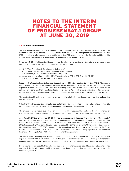# <span id="page-28-0"></span>NOTES TO THE INTERIM FINANCIAL STATEMENT OF PROSIEBENSAT.1 GROUP AT JUNE 30, 2019

# 1 / General information

The interim consolidated financial statements of ProSiebenSat.1 Media SE and its subsidiaries (together "the Company", "the Group" or "ProSiebenSat.1 Group") as of June 30, 2019, were prepared in accordance with the IFRS applicable to interim reporting as published by the IASB and applicable in the EU and should be read in conjunction with the consolidated financial statements as of December 31, 2018.

On January 1, 2019, ProSiebenSat.1 Group adopted the following standards and interpretations, as issued by the IASB and endorsed by the European Commission, for the first time:

- \_ IAS 19 "Plan Amendment, Curtailment or Settlement"
- \_ IAS 28 "Long-term Interests in Associates and Joint Ventures"
- \_ IFRS 9 "Prepayment Features with Negative Compensation"
- \_ Annual Improvement Project 2015– 2017: "Amendments to IFRS 3, IFRS 11, IAS 12, IAS 23"
- \_ IFRIC 23 "Uncertainty Over Income Tax Treatments"

In addition, the Group implemented the agenda decision of the IFRS Interpretations Committee (IFRS IC) "Customer's Right to Receive Access to the Supplier's Software Hosted on the Cloud" from March 2019. This agenda decision stipulates that software-as-a-service contracts that solely grant access to software operated in the cloud by the software provider are not to be capitalized as intangible assets. As a result of the clarification, certain softwareas-a-service contracts and individual contract components will be treated as service contracts in the future.

The application of the above pronouncements had no material effect on the Group's earnings, financial position and performance.

Other than this, the accounting principles applied to the interim consolidated financial statements as of June 30, 2019, are the same as for the consolidated financial statements for the financial year 2018.

The Group's core business is subject to significant seasonal fluctuations. The results for the first six months of the financial year 2019 therefore do not necessarily permit predictions as to future business performance.

As of June 30, 2018, and December 31, 2018, amounts were reclassified between the equity items "Other equity" and "Non-controlling interests" due to a necessary adjustment identified in the first quarter of 2019 in relation to the effects of General Atlantic's entry in 2018. The reclassification amounts to EUR 19 million as of June 30, 2018. Consequently, "Non-controlling interests" increased by EUR 19 million while "Other equity" decreased by EUR 19 million as of June 30, 2018, compared to the amounts previously reported. As of December 31, 2018, the reclassification amounted to EUR 116 million, with "Non-controlling interests" being reported as EUR 116 million lower and "Other equity" as EUR 116 million higher after the adjustment.

The Annual General Meeting of ProSiebenSat.1 Media SE on June 12, 2019, resolved the allocation to retained earnings in the amount of EUR 200 million and the distribution of a dividend in the amount of EUR 1.19 per share for the financial year 2018. The total dividend payment amounted to EUR 269 million and was disbursed on June 17, 2019.

Due to rounding, it is possible that individual figures in these interim consolidated financial statements do not add exactly to the totals shown and that the percentage figures presented do not reflect exactly the absolute figures they relate to.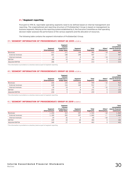# <span id="page-29-0"></span>2 / Segment reporting

Pursuant to IFRS 8, reportable operating segments need to be defined based on internal management and reporting. The organizational and reporting structure of ProSiebenSat.1 Group is based on management by business segments. Relying on the reporting system established by it, the Executive Committee as chief operating decision maker assesses the performance of the various segments and the allocation of resources.

The following table contains the segment information of ProSiebenSat.1 Group.

### 39 / SEGMENT INFORMATION OF PROSIEBENSAT.1 GROUP Q2 2019 in EUR m

|                     | Segment<br>Entertainment | Segment<br>Content<br><b>Production &amp;</b><br><b>Global Sales</b> | Segment<br>Commerce | Total<br>Segments | Other/<br><b>Eliminations</b> | <b>Total</b><br>consolidated<br>interim financial<br>statements |
|---------------------|--------------------------|----------------------------------------------------------------------|---------------------|-------------------|-------------------------------|-----------------------------------------------------------------|
| Revenues            | 612                      | 171                                                                  | 198                 | 982               | $-34$                         | 947                                                             |
| External revenues   | 601                      | 148                                                                  | 198                 | 947               | $-/-$                         | 947                                                             |
| Internal revenues   | 12                       | 23                                                                   |                     | 34                | $-34$                         | $-/-$                                                           |
| EBITDA <sup>1</sup> | 180                      | 10                                                                   | 13                  | 203               | 0                             | 204                                                             |
| Adjusted EBITDA     | 186                      |                                                                      | 17                  | 213               |                               | 213                                                             |

1 This information is provided on a voluntary basis as part of segment reporting.

# 40 / SEGMENT INFORMATION OF PROSIEBENSAT.1 GROUP Q2 2018 in EUR m

|                     | Segment<br>Entertainment | Seament<br>Content<br><b>Production &amp;</b><br><b>Global Sales</b> | Segment<br>Commerce | Total<br>Segments | Other/<br><b>Eliminations</b> | Total<br>consolidated<br>interim financial<br>statements |
|---------------------|--------------------------|----------------------------------------------------------------------|---------------------|-------------------|-------------------------------|----------------------------------------------------------|
| Revenues            | 646                      | 130                                                                  | 168                 | 944               | $-32$                         | 912                                                      |
| External revenues   | 628                      | 116                                                                  | 168                 | 912               | $-/-$                         | 912                                                      |
| Internal revenues   | 18                       | 14                                                                   |                     | 32                | $-32$                         | $-/-$                                                    |
| EBITDA <sup>1</sup> | 215                      |                                                                      | ົ                   | 231               | 0                             | 230                                                      |
| Adiusted EBITDA     | 234                      |                                                                      | 16                  | 259               | 0                             | 259                                                      |

1 This information is provided on a voluntary basis as part of segment reporting.

### 41 / SEGMENT INFORMATION OF PROSIEBENSAT.1 GROUP H1 2019 in EUR m

|                     | Segment<br>Entertainment | Segment<br>Content<br><b>Production &amp;</b><br><b>Global Sales</b> | Segment<br>Commerce | Total<br>Segments | Other/<br><b>Eliminations</b> | <b>Total</b><br>consolidated<br>interim financial<br>statements |
|---------------------|--------------------------|----------------------------------------------------------------------|---------------------|-------------------|-------------------------------|-----------------------------------------------------------------|
| Revenues            | 1,204                    | 319                                                                  | 397                 | 1,920             | $-60$                         | 1,860                                                           |
| External revenues   | 1,180                    | 283                                                                  | 397                 | 1,860             | $-/-$                         | 1,860                                                           |
| Internal revenues   | 24                       | 36                                                                   |                     | 60                | $-60$                         | $-/-$                                                           |
| EBITDA <sup>1</sup> | 339                      | 18                                                                   | 28                  | 384               | 0                             | 384                                                             |
| Adjusted EBITDA     | 349                      |                                                                      | 36                  | 403               | 0                             | 403                                                             |

1 This information is provided on a voluntary basis as part of segment reporting.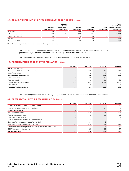### 42 / SEGMENT INFORMATION OF PROSIEBENSAT.1 GROUP H1 2018 in EUR m

|                     | Segment<br>Entertainment | Segment<br>Content<br><b>Production &amp;</b><br><b>Global Sales</b> | Seament<br>Commerce | Total<br>Segments | Other/<br><b>Eliminations</b> | <b>Total</b><br>consolidated<br>interim financial<br>statements |
|---------------------|--------------------------|----------------------------------------------------------------------|---------------------|-------------------|-------------------------------|-----------------------------------------------------------------|
| Revenues            | 1,288                    | 239                                                                  | 328                 | 1,855             | $-62$                         | 1,794                                                           |
| External revenues   | 1,252                    | 214                                                                  | 328                 | 1,794             | $-/-$                         | 1,794                                                           |
| Internal revenues   | 36                       | 26                                                                   |                     | 62                | $-62$                         | $-/-$                                                           |
| EBITDA <sup>1</sup> | 332                      | 12                                                                   | 20                  | 364               | - 1                           | 363                                                             |
| Adjusted EBITDA     | 417                      | 13                                                                   | 29                  | 460               | $-$                           | 459                                                             |

1 This information is provided on a voluntary basis as part of segment reporting.

The Executive Committee as chief operating decision maker measures segment performance based on a segment profit measure, which in internal control and reporting is called "adjusted EBITDA".

The reconciliation of segment values to the corresponding group values is shown below:

### 43 / RECONCILIATION OF SEGMENT INFORMATION in EUR m

|                                        | 02 2019 | Q2 2018 | H1 2019 | H1 2018 |
|----------------------------------------|---------|---------|---------|---------|
| <b>ADJUSTED EBITDA</b>                 |         |         |         |         |
| Adjusted EBITDA of reportable segments | 213     | 259     | 403     | 460     |
| Other/Eliminations                     |         | 0       |         | $-1$    |
| Adjusted EBITDA of the Group           | 213     | 259     | 403     | 459     |
| Reconciling Items                      | $-9$    | $-28$   | $-19$   | $-96$   |
| Financial result                       | $-13$   | 6       | 36      | $-30$   |
| Depreciation and amortization          | $-58$   | $-52$   | $-108$  | $-101$  |
| Impairments                            | $-1$    | 0       | $-2$    | $-2$    |
| <b>Result before income taxes</b>      | 131     | 184     | 309     | 230     |

The reconciling items adjusted in arriving at adjusted EBITDA are distributed among the following categories:

# 44 / PRESENTATION OF THE RECONCILING ITEMS in EUR m

|                                                                        | 02 2019 | 02 2018 | H1 2019 | H1 2018 |
|------------------------------------------------------------------------|---------|---------|---------|---------|
| Income from changes in scope of consolidation                          |         | $-/-$   |         | $-/-$   |
| Income from other material one-time items                              | $-/-$   |         | $-1$    |         |
| Income adjustments                                                     |         |         |         |         |
| M&A related expenses                                                   | $-2$    | $-20$   | $-4$    | $-24$   |
| Reorganization expenses                                                | $-8$    | $-3$    | $-16$   | $-63$   |
| Expenses for legal claims                                              |         |         |         |         |
| Fair value adjustments of share-based payments                         |         |         |         |         |
| Expenses from changes in scope of consolidation                        |         | $-/-$   |         | $-/-$   |
| Expenses for other material one-time items                             | $-2$    | $-10$   | $-2$    | $-11$   |
| Valuation effects relating to strategic realignments of business units |         | $-/-$   |         | $-/-$   |
| <b>EBITDA</b> expense adjustments                                      | $-10$   | -29     | $-20$   | $-97$   |
| <b>Reconciling items</b>                                               | - 9     | $-28$   | $-19$   | -96     |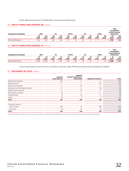Entity-wide disclosures for ProSiebenSat.1 Group are provided below:

# 45 / ENTITY-WIDE DISCLOSURES Q2 in EUR m

| AT/CH<br>UK<br>US<br>Other<br><b>GER</b><br>Geographical breakdown |            |                        |            |            |            |                        |            |            |                        | Total<br>consolidated<br>statements | interim financial |                        |
|--------------------------------------------------------------------|------------|------------------------|------------|------------|------------|------------------------|------------|------------|------------------------|-------------------------------------|-------------------|------------------------|
|                                                                    | Q2<br>2019 | Q <sub>2</sub><br>2018 | Q2<br>2019 | Q2<br>2018 | Q2<br>2019 | Q <sub>2</sub><br>2018 | Q2<br>2019 | Q2<br>2018 | Q <sub>2</sub><br>2019 | Q2<br>2018                          | Q2<br>2019        | Q <sub>2</sub><br>2018 |
| <b>External Revenues</b>                                           | 731        | 741                    | 122        | 84         | 74         | 73                     | 16         |            |                        |                                     | 947               | 912                    |

### 46 / ENTITY-WIDE DISCLOSURES H1 in EUR m

| Geographical breakdown   | GER        |            | US         |                        | AT/CH      |            | UK                     |            | Other      |            | Total<br>consolidated<br>interim financial<br>statements |            |
|--------------------------|------------|------------|------------|------------------------|------------|------------|------------------------|------------|------------|------------|----------------------------------------------------------|------------|
|                          | H1<br>2019 | H1<br>2018 | H1<br>2019 | H <sub>1</sub><br>2018 | H1<br>2019 | H1<br>2018 | H <sub>1</sub><br>2019 | H1<br>2018 | H1<br>2019 | H1<br>2018 | H1<br>2019                                               | H1<br>2018 |
| <b>External Revenues</b> | 1,458      | ,483       | 231        | 153                    | 135        | 134        | 29                     | 13         |            | 11         | 1,860                                                    | 1,794      |

In the second quarter and in the first six months, revenues under IFRS 15 are broken down by segment as follows:

# 47 / REVENUES Q2 2019 in EUR m

|                                  | Segment              | Segment<br><b>Content Production &amp;</b> |                         |       |
|----------------------------------|----------------------|--------------------------------------------|-------------------------|-------|
|                                  | <b>Entertainment</b> | <b>Global Sales</b>                        | <b>Segment Commerce</b> | Total |
| Advertising revenues             | 516                  | $-/-$                                      | $-/-$                   | 516   |
| Digital services <sup>1</sup>    | $-/-$                | $-/-$                                      | 121                     | 121   |
| Production revenues              | $-/-$                | 78                                         | $-/-$                   | 78    |
| Revenues from the sales of goods | $-/-$                | $-/-$                                      | 68                      | 68    |
| Digital studio revenues          | $-/-$                | 59                                         | $-/-$                   | 59    |
| Distribution revenues            | 38                   | $-/-$                                      | $-/-$                   | 38    |
| Program sales                    | 12                   | 12                                         | $-/-$                   | 24    |
| Others                           | 34                   | $\mathbf 0$                                | 9                       | 43    |
| Total                            | 601                  | 148                                        | 198                     | 947   |
| Timing of revenue                |                      |                                            |                         |       |
| Point in time                    | 563                  | 70                                         | 180                     | 812   |
| Over time                        | 38                   | 78                                         | 19                      | 135   |
| Total                            | 601                  | 148                                        | 198                     | 947   |

1 This item primarily contains revenues from online agency services and matchmaking as well as event vouchers and miscellaneous online market places.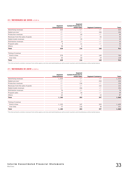### 48 / REVENUES Q2 2018 in EUR m

|                                  | Segment              | Segment<br><b>Content Production &amp;</b> |                          |       |
|----------------------------------|----------------------|--------------------------------------------|--------------------------|-------|
|                                  | <b>Entertainment</b> | <b>Global Sales</b>                        | <b>Segment Commerce</b>  | Total |
| Advertising revenues             | 525                  | $-/-$                                      | $-/-$                    | 525   |
| Digital services <sup>1</sup>    | $-/-$                | $-/-$                                      | 106                      | 106   |
| Production revenues              | $-/-$                | 60                                         | $-/-$                    | 60    |
| Revenues from the sales of goods | $-/-$                | $-/-$                                      | 55                       | 55    |
| Digital studio revenues          | $-/-$                | 39                                         | $-/-$                    | 39    |
| Distribution revenues            | 35                   | $-/-$                                      | $-/-$                    | 35    |
| Program sales                    | 9                    | 11                                         | $-/-$                    | 20    |
| Others                           | 58                   | 6                                          | $\overline{\phantom{a}}$ | 73    |
| Total                            | 628                  | 116                                        | 168                      | 912   |
| Timing of revenue                |                      |                                            |                          |       |
| Point in time                    | 578                  | 57                                         | 149                      | 784   |
| Over time                        | 50                   | 60                                         | 19                       | 128   |
| Total                            | 628                  | 116                                        | 168                      | 912   |

1 This item primarily contains revenues from online agency services and matchmaking as well as event vouchers and miscellaneous online market places.

# 49 / REVENUES H1 2019 in EUR m

|                                  | Segment       | Segment<br><b>Content Production &amp;</b> |                         |       |
|----------------------------------|---------------|--------------------------------------------|-------------------------|-------|
|                                  | Entertainment | <b>Global Sales</b>                        | <b>Segment Commerce</b> | Total |
| Advertising revenues             | 1,024         | $-/-$                                      | $-/-$                   | 1,024 |
| Digital services <sup>1</sup>    | $-/-$         | $-/-$                                      | 250                     | 250   |
| Production revenues              | $-/-$         | 136                                        | $-/-$                   | 136   |
| Revenues from the sales of goods | $-/-$         | $-/-$                                      | 132                     | 132   |
| Digital studio revenues          | $-/-$         | 106                                        | $-/-$                   | 106   |
| Distribution revenues            | 76            | $-/-$                                      | $-/-$                   | 76    |
| Program sales                    | 15            | 34                                         | $-/-$                   | 49    |
| Others                           | 65            |                                            | 15                      | 87    |
| Total                            | 1,180         | 283                                        | 397                     | 1,860 |
| Timing of revenue                |               |                                            |                         |       |
| Point in time                    | 1,103         | 147                                        | 359                     | 1,609 |
| Over time                        | 77            | 136                                        | 38                      | 251   |
| Total                            | 1,180         | 283                                        | 397                     | 1,860 |

1 This item primarily contains revenues from online agency services and matchmaking as well as event vouchers and miscellaneous online market places.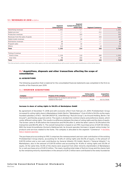### 50 / **REVENUES H1 2018** in EUR m

|                                  | Segment              | Segment<br><b>Content Production &amp;</b> |                         |       |
|----------------------------------|----------------------|--------------------------------------------|-------------------------|-------|
|                                  | <b>Entertainment</b> | <b>Global Sales</b>                        | <b>Segment Commerce</b> | Total |
| Advertising revenues             | 1,051                | $-/-$                                      | $-/-$                   | 1,051 |
| Digital services <sup>1</sup>    | $-/-$                | $-/-$                                      | 211                     | 211   |
| Production revenues              | $-/-$                | 103                                        | $-/-$                   | 103   |
| Revenues from the sales of goods | $-/-$                | $-/-$                                      | 103                     | 103   |
| Digital studio revenues          | $-/-$                | 68                                         | $-/-$                   | 68    |
| Distribution revenues            | 69                   | $-/-$                                      | $-/-$                   | 69    |
| Program sales                    | 20                   | 32                                         | $-/-$                   | 52    |
| Others                           | 112                  | 11                                         | 14                      | 135   |
| Total                            | 1,252                | 214                                        | 328                     | 1,794 |
| Timing of revenue                |                      |                                            |                         |       |
| Point in time                    | 1,154                | 110                                        | 289                     | 1,553 |
| Over time                        | 98                   | 103                                        | 39                      | 241   |
| Total                            | 1,252                | 214                                        | 328                     | 1,794 |

1 This item primarily contains revenues from online agency services and matchmaking as well as event vouchers and miscellaneous online market places.

### <span id="page-33-0"></span>3 / Acquisitions, disposals and other transactions affecting the scope of consolidation

### A) ACQUISITIONS

The following acquisition that is material for the consolidated financial statements was completed in the first six months of the financial year 2019:

### 51 / OVERVIEW ACQUISITIONS

| Company          | <b>Purpose of the company</b>                                  | Votina eauity<br>interest acquired | Acauisition<br>of control |
|------------------|----------------------------------------------------------------|------------------------------------|---------------------------|
| Marketplace GmbH | Online broker for products and services<br>related to the home | 94.0%                              | 02/21/2018                |

#### Increase in share of voting rights to 94.0% of Marketplace GmbH

By agreement of December 17, 2018 and with economic effect from February 21, 2019, ProSiebenSat.1 Group increased its voting rights share in Marketplace GmbH, Berlin ("Marketplace") from 41.6% to 94.0% via the newly founded subsidiary of NCG – NUCOM GROUP SE, Unterföhring ("NuCom Group"), be Around Holding, Berlin ("be Around"), and thereby acquired control. The equity is divided into common shares and preference shares, which confer different voting rights. This results in a difference between the share of voting rights and the share of equity. The former came to 41.6% before the transaction and 94.0% after it, while the latter came to 35.0% before the transaction and 80.0% after it. The overall transaction is based on an IFRS 3 purchase price of EUR 130 million. With the brand Aroundhome (formerly Käuferportal), be Around operates Germany's largest online broker for products and services related to the home. The company is allocated to the segment "Commerce"  $\rightarrow$  [see Notes,](#page-29-0) [Note 2 "Segment reporting"](#page-29-0) .

The purchase price according to IFRS 3 comprises the remeasurement and non-cash contribution of the existing ProSiebenSat.1 Group shares, accounting for 41.6% of voting rights and 35.0% of equity, in the amount of EUR 55 million and a non-cash contribution by General Atlantic PD GmbH, Munich ("General Atlantic") to Marketplace, also in the amount of EUR 55 million and accounting for 41.6% of voting rights and 35.0% of equity. At the same time, 10.0% of the shares were acquired from other minority shareholders of Marketplace for a cash purchase price of EUR 12 million. The newly resulting total stake of NuCom Group and the shares held by the remaining minority shareholders in the amount of EUR 2 million were contributed to the newly founded be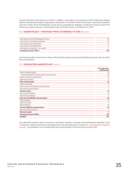Around with effect from February 21, 2019. In addition, a put option in the amount of EUR 5 million was agreed with the existing shareholders regarding the acquisition of a further 10.0% of the shares, with earliest possible exercise in 2022. Since ProSiebenSat.1 Group has an unconditional obligation via NuCom Group to acquire the shares upon option exercise, a consolidation ratio of 90.0% results as of February 21, 2019.

### 52 / MARKETPLACE - PURCHASE PRICE ACCORDING TO IFRS 3 in EUR m

| Contribution in kind ProSiebenSat.1 Group | 55  |
|-------------------------------------------|-----|
| Contribution in kind General Atlantic     | 55  |
| Cash purchase price Minorities            | 12  |
| Contribution in kind Minorities           |     |
| Contingent consideration - put option     | 5   |
| Purchase price per IFRS 3                 | 130 |

The following table shows the fair values of the identified assets acquired and liabilities assumed, each as of the time of acquisition:

### 53 / ACQUISITION MARKETPLACE in EUR m

|                                                     | Fair value at ac-<br>quisition date |
|-----------------------------------------------------|-------------------------------------|
| Other intangible assets                             | 24                                  |
| Thereof identified in the purchase price allocation | 24                                  |
| Property, plant and equipment                       | 25                                  |
| Deferred tax assets                                 | 4                                   |
| Non-current assets                                  | 53                                  |
| Trade receivables                                   | 9                                   |
| Other current receivables and other assets          | $\overline{c}$                      |
| Cash and cash equivalents                           | 2                                   |
| <b>Current assets</b>                               | 13                                  |
| Non-current liabilities                             | 21                                  |
| Deferred tax liabilities                            | 7                                   |
| Non-current liabilities and provisions              | 28                                  |
| Trade payables                                      | 8                                   |
| Other provisions                                    | $\mathbf{1}$                        |
| Other liabilities                                   | 20                                  |
| <b>Current liabilities and provisions</b>           | 30                                  |
| Non-controlling interests                           | 1                                   |
| <b>Total net assets</b>                             | 7                                   |
| Purchase price per IFRS 3                           | 130                                 |
| Goodwill                                            | 122                                 |

The identified goodwill nearly exclusively represents strategic synergies and development potential in the "Commerce" segment and hence is allocated to the cash-generating unit "Commerce", > [see Notes, Note 2 "Segment](#page-29-0) [reporting"](#page-29-0). The goodwill is not tax-deductible and is denominated in the functional currency EUR.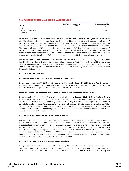### 54 / PURCHASE PRICE ALLOCATION MARKETPLACE

| Assets                 | <b>Fair Value at acquisition</b><br>in EUR m | <b>Expected useful life</b><br>in years |
|------------------------|----------------------------------------------|-----------------------------------------|
| Brand                  |                                              |                                         |
| Customer relationships | 18                                           | $3 - 11$                                |
| Technologie            |                                              |                                         |

In the context of the purchase price allocation, a brand with a finite useful life of 3 years and a fair value of EUR 3 million, customer relationships with a finite useful life of between 3 and 11 years and a fair value of EUR 18 million, and a technology with a finite useful life of 5 years and a fair value of EUR 3 million, were recognized separately from goodwill. Deferred income tax liabilities of EUR 7 million relate to the hidden reserves disclosed. The trade receivables of EUR 9 million reflect gross receivables of EUR 11 million minus valuation allowances of EUR 2 million. The remeasurement of the initial investment in Marketplace originally accounted for using the equity method in the context of the investment increase and the initial consolidation of the newly established be Around led to a valuation effect of EUR 27 million. This was recognized in the Group's financial result.

Including the companies from the start of the financial year until initial consolidation in February 2019 would have had the following effect on the financial position and performance of ProSiebenSat.1 Group: Additional revenues of EUR 12 million and earnings after taxes in the amount of minus EUR 4 million. From initial consolidation until June 30, 2019, the company contributed revenues of EUR 24 million and earnings after taxes of minus EUR 4 million to consolidated earnings.

### B) OTHER TRANSACTIONS

### Increase of General Atlantic's share in NuCom Group by 3.3%

By contract of December 17, 2018 and with economic effect as of February 21, 2019, General Atlantic has contributed its 41.6% share in Marketplace by way of a capital increase to NuCom-Group. In this context, General Atlantic's share in the capital of NuCom Group increased by 3.3% to 28.4%.

### Media-for-equity transaction between SevenVentures GmbH and Friday Insurance S.A.

By agreement of February 18, 2019 and with economic effect as of February 22, 2019, SevenVentures GmbH, Unterföhring a subsidiary allocated to the Entertainment segment, acquired approximately 14.0% of the voting shares in Friday Insurance S.A., Luxembourg, Luxembourg ("Friday") for a total purchase price of EUR 30 million as part of a "media-for-equity" transaction. As an independent company with a European insurance license, Friday offers innovative insurance products in Germany. As part of the transaction, the Group will provide advertising services for Friday over a period ending December 31, 2021. The shares are classified as financial assets at fair value through profit or loss pursuant to IFRS 9.

### Acquisition of the remaining 25.1% in Virtual Minds AG

With an exercise declaration dated April 16, 2019, and economic effect from May 31, 2019, the remaining minority shareholder exercised its put option. Virtual Minds AG, Freiburg ("Virtual Minds") is a media holding company, with specialized companies from the fields of media technologies, digital advertising and hosting. In the financial year 2015, ProSiebenSat.1 Group made its first investment in the company (51.4%) and in June 2018 it increased its stake to 74.9% by exercising a call option. For a cash purchase price of EUR 36 million, ProSiebenSat.1 Group is now increasing its stake from 74.9% to 100.0%. The acquisition was accounted for as an equity transaction pursuant to IFRS 10. The cash outflow from the payment of the purchase price for additional shares in the already controlled Virtual Minds was recognized as an investing cash flow.

### Acquisition of another 18.2% in Digital-Studio Studio71

By agreement of and with economic effect from June 24, 2019, ProSiebenSat.1 Group exercised a call option on outstanding minority interests. Digital-Studio Studio71 is a leading international digital studio that produces, distributes and markets video content on digital platforms. In the financial year 2015, ProSiebenSat.1 Group had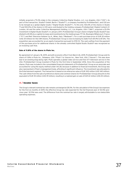initially acquired a 75.0% stake in the company Collective Digital Studios, LLC, Los Angeles, USA ("CDS"). As part of the transaction, Studio71 GmbH, Berlin ("Studio71"), a company founded by ProSiebenSat.1, and CDS are to be merged as a global digital studio ("Digital-Studio Studio71"). To this end, 100.0% of the shares in Studio 71 and 100.0% of the shares in CDS were contributed to the holding company ProSiebenSat.1 Digital Content LP, London, UK and the seller Collective Management Holding, LLC, Los Angeles, USA ("CMH"), acquired a 25.0% investment in Digital-Studio Studio71. In January 2017, ProSiebenSat.1 Group's share in Digital-Studio Studio71 was diluted to 69.4% by a capital increase and investments by the media groups TF1 SA, Boulogne-Billancourt, France ("TF1") and Reti Televisive Italiane S.p.A., Milan, Italy ("Mediaset"). For a cash purchase price of EUR 30 million (US\$ 34 million) for the CMH shares, ProSiebenSat.1 Group is now increasing its stake from 69.4% to 87.6%. The acquisition was accounted for as an equity transaction pursuant to IFRS 10. The cash outflow from the payment of the purchase price for additional shares in the already controlled Digital-Studio Studio71 was recognized as an investing cash flow.

### Sale of 11.8% of the shares in Pluto Inc.

By agreement of January 18, 2019, and with economic effect from March 26, 2019, ProSiebenSat.1 Group sold its share of 11.8% in Pluto Inc., Delaware, USA ("Pluto") to Viacom Inc., New York, USA ("Viacom"). This was done due to an existing drag-along right. Pluto operates a global video service and free OTT television service in the USA. ProSiebenSat.1 Group invested in Pluto for the first time in September 2016. Since the acquisition of the shares, Pluto was included in the consolidated financial statements of ProSiebenSat.1 Group as an associate and accounted for using the equity method under IAS 28, because in addition to financial Investment, the Group was also represented in Pluto's management body, affording it significant influence. The investment was allocated to the Entertainment segment. The transaction is based on an enterprise value of EUR 300 million (US\$ 340 million). The cash inflow from the sale of preference shares and common shares for ProSiebenSat.1 Group amounts to the equivalent of EUR 35 million (US\$ 39 million), resulting in a realized gain on sale of EUR 22 million (US\$ 25 million).

# 4 / Income taxes

The Group's relevant nominal tax rate remains unchanged at 28.0%. For the calculation of the Group's tax expenses for the first six months of 2019, the effective Group tax rate expected for the full financial year of 30.5% (previous year: 32.5%) was used. The difference from the nominal tax rate is largely attributable to non-deductible operating expenses.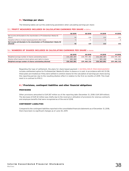### 5 / Earnings per share

The following tables set out the underlying parameters when calculating earnings per share:

### 55 / PROFIT MEASURES INCLUDED IN CALCULATING EARNINGS PER SHARE in EUR m

|                                                                                     | 02 2019 | 02 2018 | H1 2019 | H1 2018 |
|-------------------------------------------------------------------------------------|---------|---------|---------|---------|
| Net income attributable to the shareholders of ProSiebenSat.1 Media SE<br>(basic)   | 93      | 126     | 215     | 153     |
| Valuation effects of share-based payments after taxes                               | $-1$    | -       | $-7$    |         |
| Net income attributable to the shareholders of ProSiebenSat.1 Media SE<br>(diluted) | 92      | 125     | 213     | 153     |

### 56 / NUMBERS OF SHARES INCLUDED IN CALCULATING EARNINGS PER SHARE in shares

|                                                             | 02 2019     | 02 2018     | H1 2019     | H1 2018     |
|-------------------------------------------------------------|-------------|-------------|-------------|-------------|
| Weighted average number of shares outstanding (basic)       | 226,080,487 | 228,949,482 | 226,080,487 | 228,949,482 |
| Dilution effect based on stock options and rights to shares | 483,404     | 518,836     | 483,404     | 518,836     |
| Weighted average number of shares outstanding (diluted)     | 226,563,891 | 229,468,318 | 226,563,891 | 229,468,318 |

Regarding the type of settlement, the plans for share-based payment  $\rightarrow$  [see Notes, Note 8 "Share-based payments"](#page-42-1) include a settlement option for ProSiebenSat.1 Media SE either in shares or in cash. In accordance with IAS 33.58, these plans are treated as if they were settled in common shares for the calculation of earnings per share during this reporting period, due to the resulting dilution effect in relation to the first six months of 2019. This treatment is in contrast to IFRS 2.

# 6 / Provisions, contingent liabilities and other financial obligations

### PROVISIONS

Other provisions amounted to EUR 267 million as of the reporting date (December 31, 2018: EUR 309 million). The decrease of EUR 42 million was chiefly due to the reversal or utilization of provisions for onerous contracts and employee benefits that were recognized as of the end of 2018.

### CONTINGENT LIABILITIES

Compared to the contingent liabilities reported in the consolidated financial statements as of December 31, 2018, there have been no significant changes as of June 30, 2019.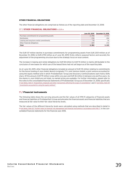### OTHER FINANCIAL OBLIGATIONS

The other financial obligations are comprised as follows as of the reporting date and December 31, 2018:

### 57 / OTHER FINANCIAL OBLIGATIONS in EUR m

|                                             | June 30, 2019 | December 31, 2018 |
|---------------------------------------------|---------------|-------------------|
| Purchase commitments for programming assets | 2,794         | 2.931             |
| Distribution                                | 176           | 204               |
| Leasing and long-term rental commitments    | 74            | 16                |
| Other financial obligations                 | 337           | 172               |
| Total                                       | 3,381         | 3,325             |

The EUR 137 million decline in purchase commitments for programming assets from EUR 2,931 million as of December 31, 2018, to EUR 2,794 million as of June 30, 2019, firstly reflects seasonal factors and secondly the adjustment of the programming structure due to the strategic focus on local content.

The increase in leasing and rental obligations by EUR 58 million to EUR 74 million is mainly attributable to the conclusion of new leases for which use of the leased items had not yet begun as of the reporting date.

As of June 30, 2019, other financial obligations included an amount of EUR 115 million relating to commitments for the future funding of Joyn GmbH, Munich (originally 7TV Joint Venture GmbH), a joint venture accounted for using the equity method and in which ProSiebenSat.1 Group and Discovery Communications each hold a 50% share. Of this amount, EUR 79 million is due within one year and EUR 36 million in between one and five years. As the shares in Joyn GmbH are not listed, no market prices are available. For further information, please refer to the notes to the consolidated financial statements of ProSiebenSat.1 Group as of December 31, 2018, specifically > [see Notes, Note 4 "Acquisitions, disposals and other transactions affecting the scope of consolidation"](https://www.prosiebensat1.com/en/investor-relations/publications/annual-reports) and > see Notes, Note 20 ["Investments accounted for using the equity method."](https://www.prosiebensat1.com/en/investor-relations/publications/annual-reports)

# <span id="page-38-0"></span>7 / Financial instruments

The following table shows the carrying amounts and the fair values of all IFRS 9 categories of financial assets and financial liabilities of ProSiebenSat.1 Group and allocates the financial assets and financial liabilities that are measured at fair value to their fair value hierarchy levels.

The fair values of the different hierarchy levels were calculated using methods that are described in detail in  $\rightarrow$  [see Notes, Note 32 "Further notes on financial risk management and financial instruments in accordance with IFRS 7"](https://www.prosiebensat1.com/en/investor-relations/publications/annual-reports) in the CONsolidated financial statements for the financial year 2018.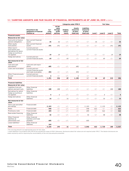### 58 / CARRYING AMOUNTS AND FAIR VALUES OF FINANCIAL INSTRUMENTS AS OF JUNE 30, 2019 in EUR m

|                                                                                                 |                                                                         |                         |                                                   |                             | Categories under IFRS 9                      |                                                          |         | <b>Fair Value</b>  |         |       |
|-------------------------------------------------------------------------------------------------|-------------------------------------------------------------------------|-------------------------|---------------------------------------------------|-----------------------------|----------------------------------------------|----------------------------------------------------------|---------|--------------------|---------|-------|
|                                                                                                 | Presented in the<br><b>Statement of Financial</b><br><b>Position as</b> | Car-<br>rying<br>amount | At fair<br>value<br>through<br>profit<br>and loss | Hedging<br>instru-<br>ments | Assets<br>measured<br>at amor-<br>tized cost | <b>Liabilities</b><br>measured<br>at amor-<br>tized cost | Level 1 | Level <sub>2</sub> | Level 3 | Total |
| <b>Financial assets</b>                                                                         |                                                                         |                         |                                                   |                             |                                              |                                                          |         |                    |         |       |
| <b>Measured as fair value</b>                                                                   |                                                                         |                         |                                                   |                             |                                              |                                                          |         |                    |         |       |
| Fund units to finance<br>pension obligations                                                    | Non-current financial<br>assets                                         | 26                      | 26                                                | -/-                         |                                              | -/-                                                      | 26      |                    | $-/-$   | 26    |
| Other equity<br>instruments                                                                     | Non-current financial<br>assets                                         | 191                     | 191                                               | $-/-$                       | $-/-$                                        | -/-                                                      | $-/-$   | $-/-$              | 191     | 191   |
| Other level 3<br>instruments and<br>derivatives for which<br>hedge accounting is<br>not applied | Current and non-<br>current financial assets                            | 19                      | 19                                                | $-/-$                       | $-/-$                                        | $-/-$                                                    | $-/-$   | $-/-$              | 19      | 19    |
| Hedge derivatives                                                                               | Current and non-<br>current financial assets                            | 69                      | $-/-$                                             | 69                          | $-/-$                                        | $-/-$                                                    | $-/-$   | 69                 | $-/-$   | 69    |
| Not measured at fair<br>value                                                                   |                                                                         |                         |                                                   |                             |                                              |                                                          |         |                    |         |       |
| Cash and cash<br>equivalents <sup>1</sup>                                                       | Cash and cash equiv-<br>alents                                          | 685                     | $-/-$                                             | -/-                         | 685                                          | $-/-$                                                    |         |                    |         |       |
| Loans and receivables <sup>1</sup>                                                              | Current and non-<br>current financial assets<br>and trade receivables   | 494                     | $-/-$                                             | $-/-$                       | 494                                          | -/-                                                      |         |                    |         |       |
| Other Financial assets<br>at cost <sup>1</sup>                                                  | Current and non-<br>current financial assets                            | 6                       | $-/-$                                             | $-/-$                       | 6                                            | -/-                                                      |         |                    |         |       |
| Total                                                                                           |                                                                         | 1,491                   | 236                                               | 69                          | 1,185                                        | $-/-$                                                    | 26      | 69                 | 210     | 306   |
| <b>Financial liabilities</b>                                                                    |                                                                         |                         |                                                   |                             |                                              |                                                          |         |                    |         |       |
| <b>Measured at fair value</b>                                                                   |                                                                         |                         |                                                   |                             |                                              |                                                          |         |                    |         |       |
| Liabilities from put-<br>options and earn-outs                                                  | Other financial<br>liabilities                                          | 188                     | 188                                               | -/-                         | $-/-$                                        | $-/-$                                                    | $-/-$   | $-/-$              | 188     | 188   |
| Derivatives for which<br>hedge accounting is<br>not applied                                     | Other financial<br>liabilities                                          | 6                       | 6                                                 | $-/-$                       | $-/-$                                        | $-/-$                                                    | $-/-$   | 6                  | $-/-$   | 6     |
| Hedge derivatives                                                                               | Other financial<br>liabilities                                          | 16                      | $-/-$                                             | 16                          | $-/-$                                        | $-/-$                                                    | $-/-$   | 16                 | $-/-$   | 16    |
| Not measured at fair<br>value                                                                   |                                                                         |                         |                                                   |                             |                                              |                                                          |         |                    |         |       |
| Term Loan and other<br>borrowings                                                               | Financial debt                                                          | 2,103                   | $-/-$                                             | $-/-$                       | $-/-$                                        | 2,103                                                    | $-/-$   | 2,135              | $-/-$   | 2,135 |
| Notes                                                                                           | Financial debt                                                          | 598                     | $-/-$                                             | $-/-$                       | $-/-$                                        | 598                                                      | 622     | $-/-$              | $-/-$   | 622   |
| Promissory note                                                                                 | Financial debt                                                          | 499                     | $-/-$                                             | $-/-$                       | $-/-$                                        | 499                                                      | $-/-$   | 522                | $-/-$   | 522   |
| Real estate financing                                                                           | Other financial<br>liabilities                                          | 42                      | $-/-$                                             | $-/-$                       | $-/-$                                        | 42                                                       | $-/-$   | 48                 | $-/-$   | 48    |
| Other Financial<br>liabilities at<br>(amortised) cost <sup>1</sup>                              | Other financial<br>liabilities and trade<br>payables                    | 605                     | $-/-$                                             | $-/-$                       | $-/-$                                        | 605                                                      |         |                    |         |       |
| Lease liabilities <sup>2</sup>                                                                  | Other financial<br>liabilities                                          | 164                     |                                                   |                             |                                              |                                                          |         |                    |         |       |
| Total                                                                                           |                                                                         | 4,220                   | 194                                               | 16                          | -/-                                          | 3,846                                                    | 622     | 2,728              | 188     | 3,537 |

1 The carrying amount is an appropriate proxy for fair value.

2 Lease liabilities in accordance with IFRS 16 are outside the scope of IFRS 9. Moreover, disclosures about fair values are not required under IFRS 7. The tabular disclosures are made voluntarily and for improving the reconcilability of the carrying amounts presented.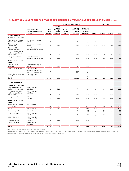### 59 / CARRYING AMOUNTS AND FAIR VALUES OF FINANCIAL INSTRUMENTS AS OF DECEMBER 31, 2018 in EUR m

|                                                                                                 | Presented in the<br><b>Statement of Financial</b><br><b>Position as</b> |                         |                                                   |                             | <b>Categories under IFRS 9</b>                      |                                                          |         | <b>Fair Value</b> |         |              |
|-------------------------------------------------------------------------------------------------|-------------------------------------------------------------------------|-------------------------|---------------------------------------------------|-----------------------------|-----------------------------------------------------|----------------------------------------------------------|---------|-------------------|---------|--------------|
|                                                                                                 |                                                                         | Car-<br>rying<br>amount | At fair<br>value<br>through<br>profit<br>and loss | Hedging<br>instru-<br>ments | <b>Assets</b><br>measured<br>at amor-<br>tized cost | <b>Liabilities</b><br>measured<br>at amor-<br>tized cost | Level 1 | Level 2           | Level 3 | <b>Total</b> |
| <b>Financial assets</b>                                                                         |                                                                         |                         |                                                   |                             |                                                     |                                                          |         |                   |         |              |
| <b>Measured as fair value</b>                                                                   |                                                                         |                         |                                                   |                             |                                                     |                                                          |         |                   |         |              |
| Fund units to finance<br>pension obligations                                                    | Non-current financial<br>assets                                         | 25                      | 25                                                | - / -                       |                                                     | -/-                                                      | 25      | $-/-$             | $-/-$   | 25           |
| Other equity<br>instruments                                                                     | Non-current financial<br>assets                                         | 156                     | 156                                               | -/-                         | $-/-$                                               | $-/-$                                                    | $-/-$   | $-/-$             | 156     | 156          |
| Other level 3<br>instruments and<br>derivatives for which<br>hedge accounting is<br>not applied | Current and non-<br>current financial assets                            | 20                      | 20                                                | -/-                         | -/-                                                 | -/-                                                      |         | 1                 | 19      | 20           |
| Hedge derivatives                                                                               | Current and non-<br>current financial assets                            | 69                      | $-/-$                                             | 69                          | $-/-$                                               | -/-                                                      | $-/-$   | 69                | $-/-$   | 69           |
| Not measured at fair<br>value                                                                   |                                                                         |                         |                                                   |                             |                                                     |                                                          |         |                   |         |              |
| Cash and cash<br>equivalents <sup>1</sup>                                                       | Cash and cash equiv-<br>alents                                          | 1,031                   | $-/-$                                             | -/-                         | 1,031                                               | -/-                                                      |         |                   |         |              |
| Loans and receivables <sup>1</sup>                                                              | Current and non-<br>current financial assets<br>and trade receivables   | 567                     | $-/-$                                             | $-/-$                       | 567                                                 | $-/-$                                                    |         |                   |         |              |
| Other Financial assets<br>at cost <sup>1</sup>                                                  | Current and non-<br>current financial assets                            | 6                       | $-/-$                                             | $-/-$                       | 6                                                   | -/-                                                      |         |                   |         |              |
| Total                                                                                           |                                                                         | 1,873                   | 201                                               | 69                          | 1,603                                               | -/-                                                      | 25      | 70                | 175     | 270          |
| <b>Financial liabilities</b>                                                                    |                                                                         |                         |                                                   |                             |                                                     |                                                          |         |                   |         |              |
| Measured at fair value                                                                          |                                                                         |                         |                                                   |                             |                                                     |                                                          |         |                   |         |              |
| Liabilities from put-<br>options and earn-outs                                                  | Other financial<br>liabilities                                          | 312                     | 312                                               | $-/-$                       | $-/-$                                               | $-/-$                                                    | $-/-$   | $-/-$             | 312     | 312          |
| Derivatives for which<br>hedge accounting is<br>not applied                                     | Other financial<br>liabilities                                          | 9                       | 9                                                 | $-/-$                       | $-/-$                                               | $-/-$                                                    | $-/-$   | 9                 | $-/-$   | 9            |
| Hedge derivatives                                                                               | Other financial<br>liabilities                                          | 14                      | $-/-$                                             | 14                          | $-/-$                                               | $-/-$                                                    | $-/-$   | 14                | $-/-$   | 14           |
| Not measured at fair<br>value                                                                   |                                                                         |                         |                                                   |                             |                                                     |                                                          |         |                   |         |              |
| Term Loan and other<br>borrowings                                                               | Financial debt                                                          | 2,098                   | $-/-$                                             | -/-                         | $-/-$                                               | 2,098                                                    | $-/-$   | 2,107             | $-/-$   | 2,107        |
| Notes                                                                                           | Financial debt                                                          | 598                     | $-/-$                                             | $-/-$                       | $-/-$                                               | 598                                                      | 625     | $-/-$             | $-/-$   | 625          |
| Promissory note                                                                                 | Financial debt                                                          | 499                     | $-/-$                                             | $-/-$                       | $-/-$                                               | 499                                                      | $-/-$   | 494               | $-/-$   | 494          |
| Real estate financing                                                                           | Other financial<br>liabilities                                          | 22                      | $-/-$                                             | $-/-$                       | $-/-$                                               | 22                                                       | $-/-$   | 27                | $-/-$   | 27           |
| Other Financial<br>liabilities at<br>(amortised) cost <sup>1</sup>                              | Other financial<br>liabilities and trade<br>payables                    | 639                     | $-/-$                                             | $-/-$                       | $-/-$                                               | 639                                                      |         |                   |         |              |
| Lease liabilities <sup>2</sup>                                                                  | Other financial<br>liabilities                                          | 155                     |                                                   |                             |                                                     |                                                          |         |                   |         | 0            |
| Total                                                                                           |                                                                         | 4,345                   | 321                                               | 14                          | -/-                                                 | 3,856                                                    | 625     | 2,651             | 312     | 3,587        |

1 The carrying amount is an appropriate proxy for fair value.

2 Lease liabilities in accordance with IFRS 16 are outside the scope of IFRS 9. Moreover, disclosures about fair values are not required under IFRS 7. The tabular disclosures are made voluntarily and for improving the reconcilability of the carrying amounts presented.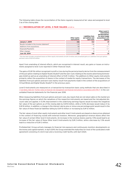The following table shows the reconciliation of the items regularly measured at fair value and assigned to level 3 as of the closing date:

### 60 / RECONCILIATION OF LEVEL 3 FAIR VALUES in EUR m

|                                                       | Other equity<br>instruments | <b>Liabilities from</b><br>put-options and<br>earn-outs | Other Level-3-<br>instruments<br>and derivatives,<br>for which hedge<br>accounting is not<br>applied |
|-------------------------------------------------------|-----------------------------|---------------------------------------------------------|------------------------------------------------------------------------------------------------------|
| <b>January 1, 2019</b>                                | 156                         | 312                                                     | 19                                                                                                   |
| Results included in the income statement <sup>1</sup> | $-13$                       | $-56$                                                   | $\Omega$                                                                                             |
| Additions from acquisitions                           | 50                          |                                                         | $-/-$                                                                                                |
| Disposals/Payments                                    | $-2$                        | $-75$                                                   | $-/-$                                                                                                |
| Other changes                                         | 0                           | $\Omega$                                                | $\Omega$                                                                                             |
| June 30, 2019                                         | 191                         | 188                                                     | 19                                                                                                   |

1 This line item includes unrealized losses on Other equity instruments of EUR 13 million and unrealized gains on Liabilities from put options and earn-outs of EUR 42 million.

Apart from unwinding of interest effects, which are recognized in interest result, any gains or losses on instruments assigned to level 3 are reported in Other financial result.

The gains of EUR 56 million recognized in profit or loss during the period primarily derive from the remeasurement of the put option relating to Digital-Studio Studio71 and the earn-outs relating to the esome advertising technologies GmbH as well as an unwinding of interest effect of EUR 3 million. The additions to Other equity instruments primarily reflect the acquisition of shares in the context of media-for-equity transactions. The decreases of the liabilities from put options and earn-outs mainly result from payments made in the context of the acquisitions of Virtual Minds and Digital-Studio Studio71 in the previous years.

Level-3-instruments are measured on a transaction-by-transaction basis using methods that are described in  $\rightarrow$  [see Notes, Note 32 "Further notes on financial risk management and financial instruments in accordance with IFRS 7"](https://www.prosiebensat1.com/en/investor-relations/publications/annual-reports) in the consolidated financial statements for the financial year 2018.

When measuring liabilities from put options and earn-outs, key inputs that are not observable on the market are the earnings figures on which the valuations of the respective instruments are based and the risk-adjusted discount rates are applied. A 5.0% improvement in the underlying earnings figures would increase the (negative) fair value of the put options as of the closing date by EUR 8 million, while a 5.0% decrease would reduce it by EUR 8 million. In addition, a change in the interest rate by plus or minus one percentage point would result in the fair value of these financial liabilities falling by EUR 10 million or increasing by EUR 12 million.

The fair values of most other equity instruments and other level-3-instruments are based on share prices obtained in the context of financing rounds with external investors. Moreover, geographical revenue shares affect the fair value of certain Other level-3-instruments. An increase in the revenue shares used by 1.5% would lead to an increase of the fair value of these Other level-3-instruments by EUR 2 million, while a decrease by 1.5% would lead to a reduction of EUR 2 million.

ProSiebenSat.1 Group actively manages its financial risk exposure and continuously monitors developments on the money and capital markets. In April 2019, the Group extended the maturities for most of the syndicated credit agreement consisting of a term loan and a revolving credit facility until April 2024.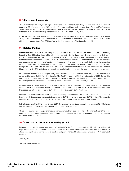# <span id="page-42-1"></span>8 / Share-based payments

The Group Share Plan 2015, which expired at the end of the financial year 2018, was fully paid out in the second quarter of 2019 in the amount of EUR 1.4 million. The plan conditions for the Group Share Plans and Performance Share Plans remain unchanged and continue to be in line with the information presented in the consolidated notes and in the combined Group management report as of December 31, 2018.

Of the performance share units issued under the other Group Share Plans, 6,460 units of the Group Share Plan 2016, 32,080 units of the Group Share Plan 2017, 0 units of the Performance Share Plan 2018 and 39,917 units of the Performance Share Plan 2019 expired in the first six months of the financial year 2019.

# 9 / Related Parties

In the first quarter of 2019, Dr. Jan Kemper, CFO and Executive Board Member Commerce, and Sabine Eckhardt, Executive Board Member Sales & Marketing, have agreed with the Supervisory Board to terminate their contracts. Dr. Jan Kemper left the company on March 31, 2019 and received a severance payment of EUR 3.5 million. Sabine Eckhardt left the company on April 30, 2019 and received a severance payment of EUR 2 million. The severance payments were made as of the termination date or, in the case of pension contributions for the remaining term, continued until the regular end of the contract or, in the case of the regulations on the Group Share Plan, recognized as provision. The Performance Share Units granted in the financial year 2018 under the Performance Share Plan are 100.0% vested and will be settled regularly after the end of the four-year performance period.

Erik Huggers, a member of the Supervisory Board of ProSiebenSat.1 Media SE since May 21, 2015, worked as a consultant for Joyn GmbH, Munich (originally: 7TV Joint Venture GmbH) in the first quarter of 2019. During this period, Joyn GmbH received consulting services on a contractual basis amounting to EUR 25 thousand. The contractual agreement was concluded the first quarter of 2019 and ended on February 8, 2019.

During the first six months of the financial year 2019, deliveries and services in a total amount of EUR 79 million (previous year: EUR 69 million) were rendered to related entities. As of June 30, 2019, the receivables due from the respective entities amounted to EUR 32 million (previous year: EUR 20 million).

In the first six months of the financial year 2019, the Group received deliveries and services from its related entities, for which it recognized expenses in the amount of EUR 15 million (previous year: EUR 13 million). The amounts payable to said entities as of June 30, 2019, totaled EUR 7 million (previous year: EUR 6 million).

In the first six months of the financial year 2019, the members of the Supervisory Board acquired 18,550 shares and the members of the Executive Committee acquired 73,000 shares.

There have been no other major changes or transactions in the first six months of the financial year 2019 compared to the facts regarding related parties as reported in the notes to the consolidated financial statements for the financial year 2018.

# <span id="page-42-0"></span>10 / Events after the interim reporting period

Between the end of the second quarter of 2019 and July 30, 2019 – the release date of this Half-Yearly Financial Report for publication and submission to the Supervisory Board – no other reportable events occurred which are of material significance for the financial position and performance of ProSiebenSat.1 Group or of ProSiebenSat.1 Media SE.

July 30, 2019

The Executive Committee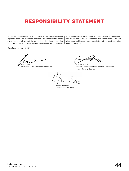# <span id="page-43-0"></span>RESPONSIBILITY STATEMENT

To the best of our knowledge, and in accordance with the applicable reporting principles, the consolidated interim financial statements give a true and fair view of the assets, liabilities, financial position and profit of the Group, and the Group Management Report includes

Unterfoehring July 30, 2019

Max Conze

Chairman of the Executive Committee

a fair review of the development and performance of the business and the position of the Group, together with a description of the principal opportunities and risks associated with the expected development of the Group.

Conrad Albert Deputy Chairman of the Executive Committee, Group General Counsel

Rainer Beaujean Chief Financial Officer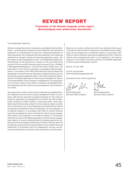# REVIEW REPORT

Translation of the German language review report (Bescheinigung nach prüferischer Durchsicht)

#### <span id="page-44-0"></span>To ProSiebenSat.1 Media SE

We have reviewed the interim condensed consolidated financial statements – comprising the condensed income statement, the condensed statement of comprehensive income, the condensed statement of financial position, the condensed cash flow statement, the condensed statement of changes in equity and selected explanatory notes – and the interim group management report of ProSiebenSat.1 Media SE, Unterföhring, for the period from 1 January to 30 June 2019, which are part of the six-monthly financial report pursuant to Sec. 115 WpHG ["Wertpapierhandelsgesetz": German Securities Trading Act]. The preparation of the interim condensed consolidated financial statements in accordance with IFRSs [International Financial Reporting Standards] on interim financial reporting as adopted by the EU and of the interim group management report in accordance with the requirements of the WpHG applicable to interim group management reports is the responsibility of the Company's management. Our responsibility is to issue a report on the interim condensed consolidated financial statements and the interim group management report based on our review.

We conducted our review of the interim condensed consolidated financial statements and the interim group management report in accordance with German generally accepted standards for the review of financial statements promulgated by the Institut der Wirtschaftsprüfer [Institute of Public Auditors in Germany] (IDW). Those standards require that we plan and perform the review to obtain a certain level of assurance in our critical appraisal to preclude that the interim condensed consolidated financial statements are not prepared, in all material respects, in accordance with IFRSs on interim financial reporting as adopted by the EU and that the interim group management report is not prepared, in all material respects, in accordance with the provisions of the WpHG applicable to interim group management reports. A review is limited primarily to making inquiries of company personnel and applying analytical procedures and thus does not provide the assurance that we would obtain from an audit of financial statements. In accordance with our engagement, we have not performed an audit and, accordingly, we do not express an audit opinion.

Based on our review, nothing has come to our attention that causes us to believe that the interim condensed consolidated financial statements are not prepared, in all material respects, in accordance with IFRSs on interim financial reporting as adopted by the EU or that the interim group management report is not prepared, in all material respects, in accordance with the provisions of the WpHG applicable to interim group management reports.

Munich, 30 July 2019

Ernst & Young GmbH Wirtschaftsprüfungsgesellschaft

[Original German version signed by:]

 $\mathcal{L}/\mathcal{D}$ Barth **V** Mielke

Wirtschaftsprüfer Wirtschaftsprüferin

[German Public Auditor] [German Public Auditor]